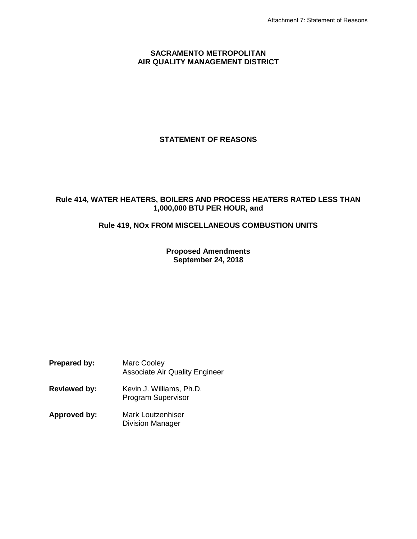#### **SACRAMENTO METROPOLITAN AIR QUALITY MANAGEMENT DISTRICT**

# **STATEMENT OF REASONS**

# **Rule 414, WATER HEATERS, BOILERS AND PROCESS HEATERS RATED LESS THAN 1,000,000 BTU PER HOUR, and**

# **Rule 419, NOx FROM MISCELLANEOUS COMBUSTION UNITS**

**Proposed Amendments September 24, 2018**

**Prepared by:** Marc Cooley Associate Air Quality Engineer

- **Reviewed by:** Kevin J. Williams, Ph.D. Program Supervisor
- **Approved by:** Mark Loutzenhiser Division Manager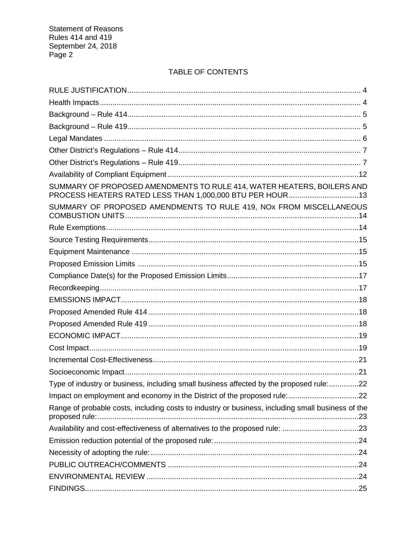# TABLE OF CONTENTS

| SUMMARY OF PROPOSED AMENDMENTS TO RULE 414, WATER HEATERS, BOILERS AND<br>PROCESS HEATERS RATED LESS THAN 1,000,000 BTU PER HOUR13 |  |
|------------------------------------------------------------------------------------------------------------------------------------|--|
| SUMMARY OF PROPOSED AMENDMENTS TO RULE 419, NOX FROM MISCELLANEOUS                                                                 |  |
|                                                                                                                                    |  |
|                                                                                                                                    |  |
|                                                                                                                                    |  |
|                                                                                                                                    |  |
|                                                                                                                                    |  |
|                                                                                                                                    |  |
|                                                                                                                                    |  |
|                                                                                                                                    |  |
|                                                                                                                                    |  |
|                                                                                                                                    |  |
|                                                                                                                                    |  |
|                                                                                                                                    |  |
|                                                                                                                                    |  |
| Type of industry or business, including small business affected by the proposed rule:22                                            |  |
|                                                                                                                                    |  |
| Range of probable costs, including costs to industry or business, including small business of the                                  |  |
| Availability and cost-effectiveness of alternatives to the proposed rule: 23                                                       |  |
|                                                                                                                                    |  |
|                                                                                                                                    |  |
|                                                                                                                                    |  |
|                                                                                                                                    |  |
|                                                                                                                                    |  |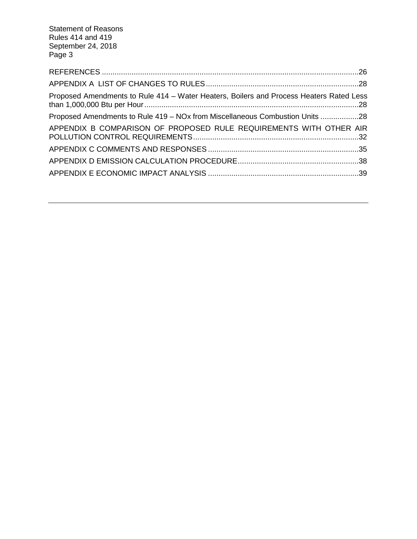| Proposed Amendments to Rule 414 – Water Heaters, Boilers and Process Heaters Rated Less |  |
|-----------------------------------------------------------------------------------------|--|
| Proposed Amendments to Rule 419 – NOx from Miscellaneous Combustion Units 28            |  |
| APPENDIX B COMPARISON OF PROPOSED RULE REQUIREMENTS WITH OTHER AIR                      |  |
|                                                                                         |  |
|                                                                                         |  |
|                                                                                         |  |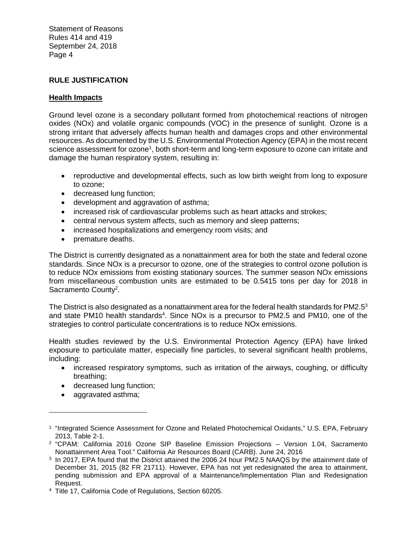# **RULE JUSTIFICATION**

# **Health Impacts**

Ground level ozone is a secondary pollutant formed from photochemical reactions of nitrogen oxides (NOx) and volatile organic compounds (VOC) in the presence of sunlight. Ozone is a strong irritant that adversely affects human health and damages crops and other environmental resources. As documented by the U.S. Environmental Protection Agency (EPA) in the most recent science assessment for ozone<sup>1</sup>, both short-term and long-term exposure to ozone can irritate and damage the human respiratory system, resulting in:

- reproductive and developmental effects, such as low birth weight from long to exposure to ozone;
- decreased lung function;
- development and aggravation of asthma;
- increased risk of cardiovascular problems such as heart attacks and strokes;
- central nervous system affects, such as memory and sleep patterns;
- increased hospitalizations and emergency room visits; and
- premature deaths.

The District is currently designated as a nonattainment area for both the state and federal ozone standards. Since NOx is a precursor to ozone, one of the strategies to control ozone pollution is to reduce NOx emissions from existing stationary sources. The summer season NOx emissions from miscellaneous combustion units are estimated to be 0.5415 tons per day for 2018 in Sacramento County<sup>2</sup>.

The District is also designated as a nonattainment area for the federal health standards for PM2.5<sup>3</sup> and state PM10 health standards<sup>4</sup>. Since NOx is a precursor to PM2.5 and PM10, one of the strategies to control particulate concentrations is to reduce NOx emissions.

Health studies reviewed by the U.S. Environmental Protection Agency (EPA) have linked exposure to particulate matter, especially fine particles, to several significant health problems, including:

- increased respiratory symptoms, such as irritation of the airways, coughing, or difficulty breathing;
- decreased lung function;
- aggravated asthma;

<sup>&</sup>lt;sup>1</sup> "Integrated Science Assessment for Ozone and Related Photochemical Oxidants," U.S. EPA, February 2013, Table 2-1.

<sup>2</sup> "CPAM: California 2016 Ozone SIP Baseline Emission Projections – Version 1.04, Sacramento Nonattainment Area Tool." California Air Resources Board (CARB). June 24, 2016

<sup>3</sup> In 2017, EPA found that the District attained the 2006 24 hour PM2.5 NAAQS by the attainment date of December 31, 2015 (82 FR 21711). However, EPA has not yet redesignated the area to attainment, pending submission and EPA approval of a Maintenance/Implementation Plan and Redesignation Request.

<sup>4</sup> Title 17, California Code of Regulations, Section 60205.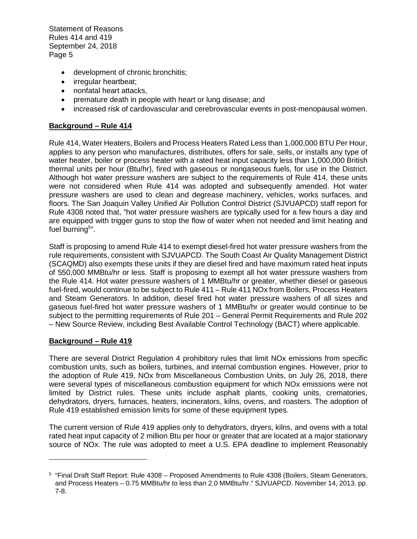- development of chronic bronchitis;
- irregular heartbeat;
- nonfatal heart attacks,
- premature death in people with heart or lung disease; and
- increased risk of cardiovascular and cerebrovascular events in post-menopausal women.

# **Background – Rule 414**

Rule 414, Water Heaters, Boilers and Process Heaters Rated Less than 1,000,000 BTU Per Hour, applies to any person who manufactures, distributes, offers for sale, sells, or installs any type of water heater, boiler or process heater with a rated heat input capacity less than 1,000,000 British thermal units per hour (Btu/hr), fired with gaseous or nongaseous fuels, for use in the District. Although hot water pressure washers are subject to the requirements of Rule 414, these units were not considered when Rule 414 was adopted and subsequently amended. Hot water pressure washers are used to clean and degrease machinery, vehicles, works surfaces, and floors. The San Joaquin Valley Unified Air Pollution Control District (SJVUAPCD) staff report for Rule 4308 noted that, "hot water pressure washers are typically used for a few hours a day and are equipped with trigger guns to stop the flow of water when not needed and limit heating and fuel burning<sup>5</sup>".

Staff is proposing to amend Rule 414 to exempt diesel-fired hot water pressure washers from the rule requirements, consistent with SJVUAPCD. The South Coast Air Quality Management District (SCAQMD) also exempts these units if they are diesel fired and have maximum rated heat inputs of 550,000 MMBtu/hr or less. Staff is proposing to exempt all hot water pressure washers from the Rule 414. Hot water pressure washers of 1 MMBtu/hr or greater, whether diesel or gaseous fuel-fired, would continue to be subject to Rule 411 – Rule 411 NOx from Boilers, Process Heaters and Steam Generators. In addition, diesel fired hot water pressure washers of all sizes and gaseous fuel-fired hot water pressure washers of 1 MMBtu/hr or greater would continue to be subject to the permitting requirements of Rule 201 – General Permit Requirements and Rule 202 – New Source Review, including Best Available Control Technology (BACT) where applicable.

#### **Background – Rule 419**

There are several District Regulation 4 prohibitory rules that limit NOx emissions from specific combustion units, such as boilers, turbines, and internal combustion engines. However, prior to the adoption of Rule 419, NOx from Miscellaneous Combustion Units, on July 26, 2018, there were several types of miscellaneous combustion equipment for which NOx emissions were not limited by District rules. These units include asphalt plants, cooking units, crematories, dehydrators, dryers, furnaces, heaters, incinerators, kilns, ovens, and roasters. The adoption of Rule 419 established emission limits for some of these equipment types.

The current version of Rule 419 applies only to dehydrators, dryers, kilns, and ovens with a total rated heat input capacity of 2 million Btu per hour or greater that are located at a major stationary source of NOx. The rule was adopted to meet a U.S. EPA deadline to implement Reasonably

<sup>5</sup> "Final Draft Staff Report: Rule 4308 – Proposed Amendments to Rule 4308 (Boilers, Steam Generators, and Process Heaters – 0.75 MMBtu/hr to less than 2.0 MMBtu/hr." SJVUAPCD. November 14, 2013. pp. 7-8.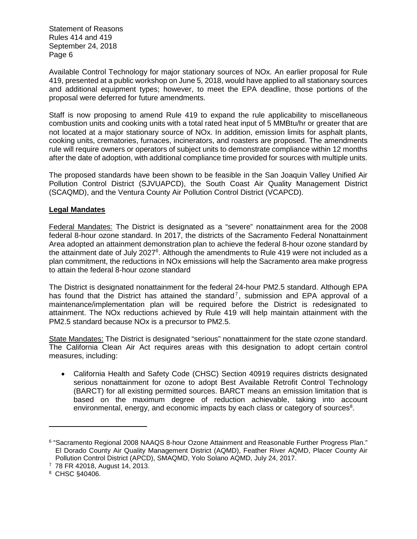Available Control Technology for major stationary sources of NOx. An earlier proposal for Rule 419, presented at a public workshop on June 5, 2018, would have applied to all stationary sources and additional equipment types; however, to meet the EPA deadline, those portions of the proposal were deferred for future amendments.

Staff is now proposing to amend Rule 419 to expand the rule applicability to miscellaneous combustion units and cooking units with a total rated heat input of 5 MMBtu/hr or greater that are not located at a major stationary source of NOx. In addition, emission limits for asphalt plants, cooking units, crematories, furnaces, incinerators, and roasters are proposed. The amendments rule will require owners or operators of subject units to demonstrate compliance within 12 months after the date of adoption, with additional compliance time provided for sources with multiple units.

The proposed standards have been shown to be feasible in the San Joaquin Valley Unified Air Pollution Control District (SJVUAPCD), the South Coast Air Quality Management District (SCAQMD), and the Ventura County Air Pollution Control District (VCAPCD).

# **Legal Mandates**

Federal Mandates: The District is designated as a "severe" nonattainment area for the 2008 federal 8-hour ozone standard. In 2017, the districts of the Sacramento Federal Nonattainment Area adopted an attainment demonstration plan to achieve the federal 8-hour ozone standard by the attainment date of July 2027<sup>6</sup>. Although the amendments to Rule 419 were not included as a plan commitment, the reductions in NOx emissions will help the Sacramento area make progress to attain the federal 8-hour ozone standard

The District is designated nonattainment for the federal 24-hour PM2.5 standard. Although EPA has found that the District has attained the standard<sup>7</sup>, submission and EPA approval of a maintenance/implementation plan will be required before the District is redesignated to attainment. The NOx reductions achieved by Rule 419 will help maintain attainment with the PM2.5 standard because NOx is a precursor to PM2.5.

State Mandates: The District is designated "serious" nonattainment for the state ozone standard. The California Clean Air Act requires areas with this designation to adopt certain control measures, including:

 California Health and Safety Code (CHSC) Section 40919 requires districts designated serious nonattainment for ozone to adopt Best Available Retrofit Control Technology (BARCT) for all existing permitted sources. BARCT means an emission limitation that is based on the maximum degree of reduction achievable, taking into account environmental, energy, and economic impacts by each class or category of sources $8$ .

<sup>6</sup> "Sacramento Regional 2008 NAAQS 8-hour Ozone Attainment and Reasonable Further Progress Plan." El Dorado County Air Quality Management District (AQMD), Feather River AQMD, Placer County Air Pollution Control District (APCD), SMAQMD, Yolo Solano AQMD, July 24, 2017.

<sup>7</sup> 78 FR 42018, August 14, 2013.

<sup>8</sup> CHSC §40406.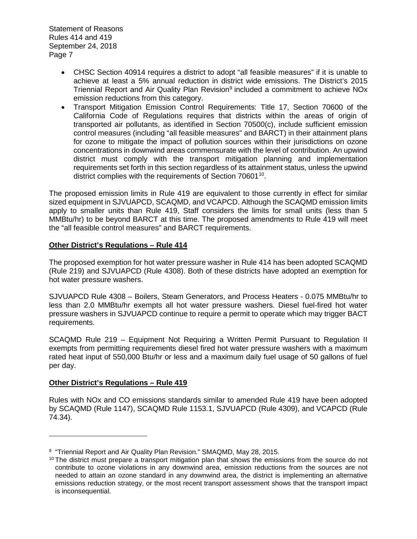- CHSC Section 40914 requires a district to adopt "all feasible measures" if it is unable to achieve at least a 5% annual reduction in district wide emissions. The District's 2015 Triennial Report and Air Quality Plan Revision<sup>9</sup> included a commitment to achieve NOx emission reductions from this category.
- Transport Mitigation Emission Control Requirements: Title 17, Section 70600 of the California Code of Regulations requires that districts within the areas of origin of transported air pollutants, as identified in Section 70500(c), include sufficient emission control measures (including "all feasible measures" and BARCT) in their attainment plans for ozone to mitigate the impact of pollution sources within their jurisdictions on ozone concentrations in downwind areas commensurate with the level of contribution. An upwind district must comply with the transport mitigation planning and implementation requirements set forth in this section regardless of its attainment status, unless the upwind district complies with the requirements of Section 70601<sup>10</sup>.

The proposed emission limits in Rule 419 are equivalent to those currently in effect for similar sized equipment in SJVUAPCD, SCAQMD, and VCAPCD. Although the SCAQMD emission limits apply to smaller units than Rule 419, Staff considers the limits for small units (less than 5 MMBtu/hr) to be beyond BARCT at this time. The proposed amendments to Rule 419 will meet the "all feasible control measures" and BARCT requirements.

# **Other District's Regulations – Rule 414**

The proposed exemption for hot water pressure washer in Rule 414 has been adopted SCAQMD (Rule 219) and SJVUAPCD (Rule 4308). Both of these districts have adopted an exemption for hot water pressure washers.

SJVUAPCD Rule 4308 – Boilers, Steam Generators, and Process Heaters - 0.075 MMBtu/hr to less than 2.0 MMBtu/hr exempts all hot water pressure washers. Diesel fuel-fired hot water pressure washers in SJVUAPCD continue to require a permit to operate which may trigger BACT requirements.

SCAQMD Rule 219 – Equipment Not Requiring a Written Permit Pursuant to Regulation II exempts from permitting requirements diesel fired hot water pressure washers with a maximum rated heat input of 550,000 Btu/hr or less and a maximum daily fuel usage of 50 gallons of fuel per day.

#### **Other District's Regulations – Rule 419**

Rules with NOx and CO emissions standards similar to amended Rule 419 have been adopted by SCAQMD (Rule 1147), SCAQMD Rule 1153.1, SJVUAPCD (Rule 4309), and VCAPCD (Rule 74.34).

<sup>&</sup>lt;sup>9</sup> "Triennial Report and Air Quality Plan Revision." SMAQMD, May 28, 2015.

 $10$  The district must prepare a transport mitigation plan that shows the emissions from the source do not contribute to ozone violations in any downwind area, emission reductions from the sources are not needed to attain an ozone standard in any downwind area, the district is implementing an alternative emissions reduction strategy, or the most recent transport assessment shows that the transport impact is inconsequential.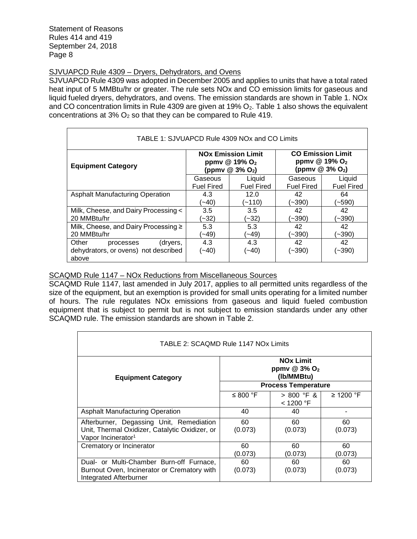# SJVUAPCD Rule 4309 – Dryers, Dehydrators, and Ovens

SJVUAPCD Rule 4309 was adopted in December 2005 and applies to units that have a total rated heat input of 5 MMBtu/hr or greater. The rule sets NOx and CO emission limits for gaseous and liquid fueled dryers, dehydrators, and ovens. The emission standards are shown in Table 1. NOx and CO concentration limits in Rule 4309 are given at 19%  $O_2$ . Table 1 also shows the equivalent concentrations at  $3\%$  O<sub>2</sub> so that they can be compared to Rule 419.

| TABLE 1: SJVUAPCD Rule 4309 NOx and CO Limits                                   |                                                                                                  |                   |                                                                                        |                   |
|---------------------------------------------------------------------------------|--------------------------------------------------------------------------------------------------|-------------------|----------------------------------------------------------------------------------------|-------------------|
| <b>Equipment Category</b>                                                       | <b>NO<sub>x</sub></b> Emission Limit<br>ppmv @ 19% O <sub>2</sub><br>(ppmv @ 3% O <sub>2</sub> ) |                   | <b>CO Emission Limit</b><br>ppmv @ 19% O <sub>2</sub><br>(ppmv $@3\%$ O <sub>2</sub> ) |                   |
|                                                                                 | Gaseous                                                                                          | Liquid            | Gaseous                                                                                | Liquid            |
|                                                                                 | <b>Fuel Fired</b>                                                                                | <b>Fuel Fired</b> | <b>Fuel Fired</b>                                                                      | <b>Fuel Fired</b> |
| <b>Asphalt Manufacturing Operation</b>                                          | 4.3                                                                                              | 12.0              | 42                                                                                     | 64                |
|                                                                                 | $(-40)$                                                                                          | $(-110)$          | (~390)                                                                                 | (~590)            |
| Milk, Cheese, and Dairy Processing <                                            | 3.5                                                                                              | 3.5               | 42                                                                                     | 42                |
| 20 MMBtu/hr                                                                     | $(-32)$                                                                                          | (~32)             | (~390)                                                                                 | (~390)            |
| Milk, Cheese, and Dairy Processing ≥                                            | 5.3                                                                                              | 5.3               | 42                                                                                     | 42                |
| 20 MMBtu/hr                                                                     | ′∼49)                                                                                            | (49∼′             | (~390)                                                                                 | (~390)            |
| Other<br>(dryers,<br>processes<br>dehydrators, or ovens) not described<br>above | 4.3<br>(~40)                                                                                     | 4.3<br>(~40)      | 42<br>$(-390)$                                                                         | 42<br>(~390)      |

# SCAQMD Rule 1147 – NOx Reductions from Miscellaneous Sources

SCAQMD Rule 1147, last amended in July 2017, applies to all permitted units regardless of the size of the equipment, but an exemption is provided for small units operating for a limited number of hours. The rule regulates NOx emissions from gaseous and liquid fueled combustion equipment that is subject to permit but is not subject to emission standards under any other SCAQMD rule. The emission standards are shown in Table 2.

| TABLE 2: SCAQMD Rule 1147 NOx Limits           |                                                                       |                            |                |  |
|------------------------------------------------|-----------------------------------------------------------------------|----------------------------|----------------|--|
| <b>Equipment Category</b>                      | <b>NO<sub>x</sub></b> Limit<br>ppmv @ 3% O <sub>2</sub><br>(Ib/MMBtu) |                            |                |  |
|                                                |                                                                       | <b>Process Temperature</b> |                |  |
|                                                | ≤ 800 °F                                                              | $> 800$ °F &               | $\geq$ 1200 °F |  |
|                                                |                                                                       | < 1200 °F                  |                |  |
| <b>Asphalt Manufacturing Operation</b>         | 40                                                                    | 40                         |                |  |
| Afterburner, Degassing Unit, Remediation       | 60                                                                    | 60                         | 60             |  |
| Unit, Thermal Oxidizer, Catalytic Oxidizer, or | (0.073)                                                               | (0.073)                    | (0.073)        |  |
| Vapor Incinerator <sup>1</sup>                 |                                                                       |                            |                |  |
| Crematory or Incinerator                       | 60                                                                    | 60                         | 60             |  |
|                                                | (0.073)                                                               | (0.073)                    | (0.073)        |  |
| Dual- or Multi-Chamber Burn-off Furnace,       | 60                                                                    | 60                         | 60             |  |
| Burnout Oven, Incinerator or Crematory with    | (0.073)                                                               | (0.073)                    | (0.073)        |  |
| <b>Integrated Afterburner</b>                  |                                                                       |                            |                |  |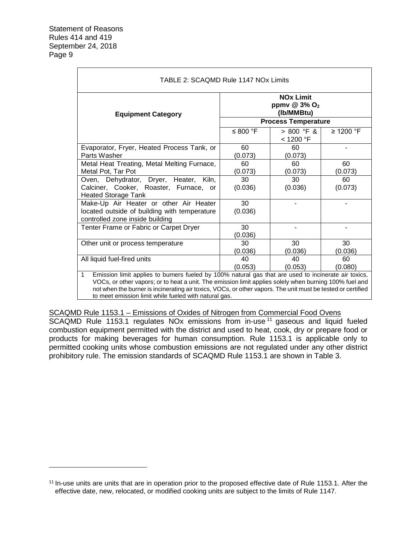| <b>Equipment Category</b>                                                                                                 |               | <b>NOx Limit</b><br>ppmv $@3\%$ O <sub>2</sub><br>(Ib/MMBtu) |                |
|---------------------------------------------------------------------------------------------------------------------------|---------------|--------------------------------------------------------------|----------------|
|                                                                                                                           | ≤ 800 °F      | <b>Process Temperature</b><br>$> 800$ °F &<br>< 1200 °F      | $\geq$ 1200 °F |
| Evaporator, Fryer, Heated Process Tank, or<br>Parts Washer                                                                | 60<br>(0.073) | 60<br>(0.073)                                                |                |
| Metal Heat Treating, Metal Melting Furnace,<br>Metal Pot, Tar Pot                                                         | 60<br>(0.073) | 60<br>(0.073)                                                | 60<br>(0.073)  |
| Oven, Dehydrator, Dryer, Heater, Kiln,<br>Calciner, Cooker, Roaster, Furnace, or<br><b>Heated Storage Tank</b>            | 30<br>(0.036) | 30<br>(0.036)                                                | 60<br>(0.073)  |
| Make-Up Air Heater or other Air Heater<br>located outside of building with temperature<br>controlled zone inside building | 30<br>(0.036) |                                                              |                |
| Tenter Frame or Fabric or Carpet Dryer                                                                                    | 30<br>(0.036) |                                                              |                |
| Other unit or process temperature                                                                                         | 30<br>(0.036) | 30<br>(0.036)                                                | 30<br>(0.036)  |
| All liquid fuel-fired units                                                                                               | 40<br>(0.053) | 40<br>(0.053)                                                | 60<br>(0.080)  |

to meet emission limit while fueled with natural gas.

SCAQMD Rule 1153.1 – Emissions of Oxides of Nitrogen from Commercial Food Ovens

SCAQMD Rule 1153.1 regulates NOx emissions from in-use <sup>11</sup> gaseous and liquid fueled combustion equipment permitted with the district and used to heat, cook, dry or prepare food or products for making beverages for human consumption. Rule 1153.1 is applicable only to permitted cooking units whose combustion emissions are not regulated under any other district prohibitory rule. The emission standards of SCAQMD Rule 1153.1 are shown in Table 3.

<sup>&</sup>lt;sup>11</sup> In-use units are units that are in operation prior to the proposed effective date of Rule 1153.1. After the effective date, new, relocated, or modified cooking units are subject to the limits of Rule 1147.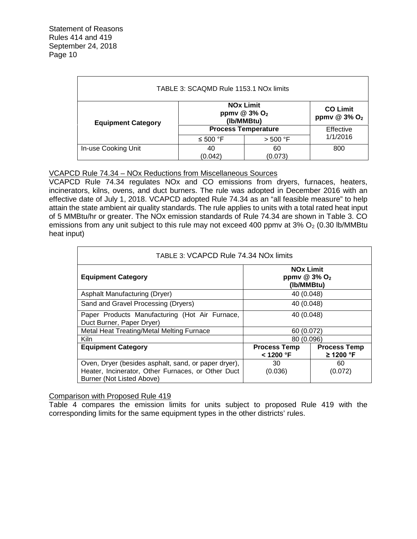| TABLE 3: SCAQMD Rule 1153.1 NOx limits                                                                                                      |                            |               |           |
|---------------------------------------------------------------------------------------------------------------------------------------------|----------------------------|---------------|-----------|
| <b>NOx Limit</b><br><b>CO Limit</b><br>ppmv @ $3\%$ O <sub>2</sub><br>ppmv $@3\%$ O <sub>2</sub><br>(Ib/MMBtu)<br><b>Equipment Category</b> |                            |               |           |
|                                                                                                                                             | <b>Process Temperature</b> |               | Effective |
|                                                                                                                                             | ≤ 500 °F                   | $>$ 500 °F    | 1/1/2016  |
| In-use Cooking Unit                                                                                                                         | 40<br>(0.042)              | 60<br>(0.073) | 800       |

# VCAPCD Rule 74.34 – NOx Reductions from Miscellaneous Sources

VCAPCD Rule 74.34 regulates NOx and CO emissions from dryers, furnaces, heaters, incinerators, kilns, ovens, and duct burners. The rule was adopted in December 2016 with an effective date of July 1, 2018. VCAPCD adopted Rule 74.34 as an "all feasible measure" to help attain the state ambient air quality standards. The rule applies to units with a total rated heat input of 5 MMBtu/hr or greater. The NOx emission standards of Rule 74.34 are shown in Table 3. CO emissions from any unit subject to this rule may not exceed 400 ppmv at  $3\%$  O<sub>2</sub> (0.30 lb/MMBtu heat input)

| TABLE 3: VCAPCD Rule 74.34 NOx limits                                                                                                   |                                                              |                                       |  |
|-----------------------------------------------------------------------------------------------------------------------------------------|--------------------------------------------------------------|---------------------------------------|--|
| <b>Equipment Category</b>                                                                                                               | <b>NOx Limit</b><br>ppmv $@3\%$ O <sub>2</sub><br>(Ib/MMBtu) |                                       |  |
| Asphalt Manufacturing (Dryer)                                                                                                           | 40 (0.048)                                                   |                                       |  |
| Sand and Gravel Processing (Dryers)                                                                                                     | 40 (0.048)                                                   |                                       |  |
| Paper Products Manufacturing (Hot Air Furnace,<br>40 (0.048)<br>Duct Burner, Paper Dryer)                                               |                                                              |                                       |  |
| Metal Heat Treating/Metal Melting Furnace<br>60 (0.072)                                                                                 |                                                              |                                       |  |
| Kiln                                                                                                                                    | 80 (0.096)                                                   |                                       |  |
| <b>Equipment Category</b>                                                                                                               | <b>Process Temp</b><br>$<$ 1200 °F                           | <b>Process Temp</b><br>$\geq$ 1200 °F |  |
| Oven, Dryer (besides asphalt, sand, or paper dryer),<br>Heater, Incinerator, Other Furnaces, or Other Duct<br>Burner (Not Listed Above) | 30<br>(0.036)                                                | 60<br>(0.072)                         |  |

# Comparison with Proposed Rule 419

Table 4 compares the emission limits for units subject to proposed Rule 419 with the corresponding limits for the same equipment types in the other districts' rules.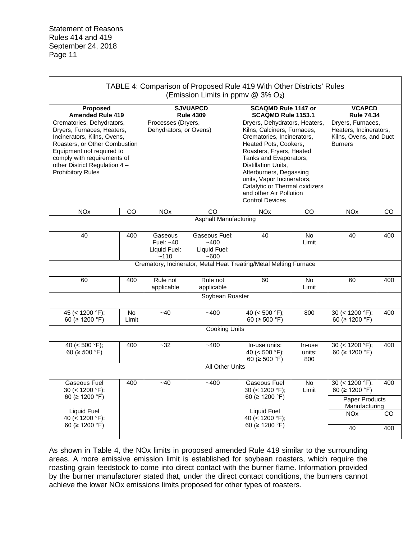| TABLE 4: Comparison of Proposed Rule 419 With Other Districts' Rules<br>(Emission Limits in ppmv $@$ 3% O <sub>2</sub> )                                                                                                                         |                    |                                              |                                               |                                                                                                                                                                                                                                                                                                                                                  |                         |                                                                                         |            |
|--------------------------------------------------------------------------------------------------------------------------------------------------------------------------------------------------------------------------------------------------|--------------------|----------------------------------------------|-----------------------------------------------|--------------------------------------------------------------------------------------------------------------------------------------------------------------------------------------------------------------------------------------------------------------------------------------------------------------------------------------------------|-------------------------|-----------------------------------------------------------------------------------------|------------|
| Proposed<br><b>Amended Rule 419</b>                                                                                                                                                                                                              |                    |                                              | <b>SJVUAPCD</b><br><b>Rule 4309</b>           | <b>SCAQMD Rule 1147 or</b><br>SCAQMD Rule 1153.1                                                                                                                                                                                                                                                                                                 |                         | <b>VCAPCD</b><br><b>Rule 74.34</b>                                                      |            |
| Crematories, Dehydrators,<br>Dryers, Furnaces, Heaters,<br>Incinerators, Kilns, Ovens,<br>Roasters, or Other Combustion<br>Equipment not required to<br>comply with requirements of<br>other District Regulation 4 -<br><b>Prohibitory Rules</b> |                    | Processes (Dryers,<br>Dehydrators, or Ovens) |                                               | Dryers, Dehydrators, Heaters,<br>Kilns, Calciners, Furnaces,<br>Crematories, Incinerators,<br>Heated Pots, Cookers,<br>Roasters, Fryers, Heated<br>Tanks and Evaporators,<br>Distillation Units,<br>Afterburners, Degassing<br>units, Vapor Incinerators,<br>Catalytic or Thermal oxidizers<br>and other Air Pollution<br><b>Control Devices</b> |                         | Dryers, Furnaces,<br>Heaters, Incinerators,<br>Kilns, Ovens, and Duct<br><b>Burners</b> |            |
| <b>NO<sub>x</sub></b>                                                                                                                                                                                                                            | CO                 | <b>NO<sub>x</sub></b>                        | CO                                            | <b>NO<sub>x</sub></b>                                                                                                                                                                                                                                                                                                                            | CO                      | <b>NO<sub>x</sub></b>                                                                   | CO         |
| 40                                                                                                                                                                                                                                               | 400                | Gaseous                                      | <b>Asphalt Manufacturing</b><br>Gaseous Fuel: | 40                                                                                                                                                                                                                                                                                                                                               | <b>No</b>               | 40                                                                                      | 400        |
|                                                                                                                                                                                                                                                  |                    | Fuel: $~1$<br>Liquid Fuel:<br>~110           | $-400$<br>Liquid Fuel:<br>~1600               |                                                                                                                                                                                                                                                                                                                                                  | Limit                   |                                                                                         |            |
|                                                                                                                                                                                                                                                  |                    |                                              |                                               | Crematory, Incinerator, Metal Heat Treating/Metal Melting Furnace                                                                                                                                                                                                                                                                                |                         |                                                                                         |            |
| 60                                                                                                                                                                                                                                               | 400                | Rule not<br>applicable                       | Rule not<br>applicable                        | 60                                                                                                                                                                                                                                                                                                                                               | <b>No</b><br>Limit      | 60                                                                                      | 400        |
|                                                                                                                                                                                                                                                  |                    |                                              | Soybean Roaster                               |                                                                                                                                                                                                                                                                                                                                                  |                         |                                                                                         |            |
| 45 (< 1200 °F);<br>60 ( $\geq$ 1200 °F)                                                                                                                                                                                                          | <b>No</b><br>Limit | $-40$                                        | $-400$                                        | 40 ( $<$ 500 °F);<br>60 ( $\geq$ 500 °F)                                                                                                                                                                                                                                                                                                         | 800                     | 30 (< 1200 °F);<br>60 ( $\geq$ 1200 °F)                                                 | 400        |
|                                                                                                                                                                                                                                                  |                    |                                              | Cooking Units                                 |                                                                                                                                                                                                                                                                                                                                                  |                         |                                                                                         |            |
| 40 ( $<$ 500 °F);<br>60 ( $\geq$ 500 °F)                                                                                                                                                                                                         | 400                | $-32$                                        | $-400$                                        | In-use units:<br>40 ( $<$ 500 °F);<br>60 ( $\geq$ 500 °F)                                                                                                                                                                                                                                                                                        | In-use<br>units:<br>800 | 30 (< 1200 °F);<br>60 ( $\geq$ 1200 °F)                                                 | 400        |
| All Other Units                                                                                                                                                                                                                                  |                    |                                              |                                               |                                                                                                                                                                                                                                                                                                                                                  |                         |                                                                                         |            |
| Gaseous Fuel<br>30 (< 1200 °F);<br>60 ( $\geq$ 1200 °F)                                                                                                                                                                                          | 400                | -40                                          | -400                                          | Gaseous Fuel<br>30 (< 1200 °F);<br>60 ( $\geq$ 1200 °F)                                                                                                                                                                                                                                                                                          | No<br>Limit             | 30 (< 1200 °F);<br>60 ( $\geq$ 1200 °F)<br>Paper Products<br>Manufacturing              | 400        |
| Liquid Fuel<br>40 (< 1200 °F);<br>60 ( $\geq$ 1200 °F)                                                                                                                                                                                           |                    |                                              |                                               | <b>Liquid Fuel</b><br>40 (< 1200 °F);<br>60 ( $\geq$ 1200 °F)                                                                                                                                                                                                                                                                                    |                         | <b>NO<sub>x</sub></b><br>40                                                             | CO.<br>400 |

As shown in Table 4, the NOx limits in proposed amended Rule 419 similar to the surrounding areas. A more emissive emission limit is established for soybean roasters, which require the roasting grain feedstock to come into direct contact with the burner flame. Information provided by the burner manufacturer stated that, under the direct contact conditions, the burners cannot achieve the lower NOx emissions limits proposed for other types of roasters.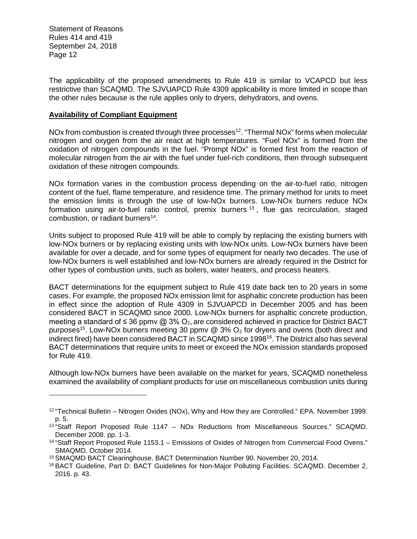The applicability of the proposed amendments to Rule 419 is similar to VCAPCD but less restrictive than SCAQMD. The SJVUAPCD Rule 4309 applicability is more limited in scope than the other rules because is the rule applies only to dryers, dehydrators, and ovens.

#### **Availability of Compliant Equipment**

NOx from combustion is created through three processes<sup>12</sup>. "Thermal NOx" forms when molecular nitrogen and oxygen from the air react at high temperatures. "Fuel NOx" is formed from the oxidation of nitrogen compounds in the fuel. "Prompt NOx" is formed first from the reaction of molecular nitrogen from the air with the fuel under fuel-rich conditions, then through subsequent oxidation of these nitrogen compounds.

NOx formation varies in the combustion process depending on the air-to-fuel ratio, nitrogen content of the fuel, flame temperature, and residence time. The primary method for units to meet the emission limits is through the use of low-NOx burners. Low-NOx burners reduce NOx formation using air-to-fuel ratio control, premix burners<sup>13</sup>, flue gas recirculation, staged combustion, or radiant burners<sup>14</sup>.

Units subject to proposed Rule 419 will be able to comply by replacing the existing burners with low-NOx burners or by replacing existing units with low-NOx units. Low-NOx burners have been available for over a decade, and for some types of equipment for nearly two decades. The use of low-NOx burners is well established and low-NOx burners are already required in the District for other types of combustion units, such as boilers, water heaters, and process heaters.

BACT determinations for the equipment subject to Rule 419 date back ten to 20 years in some cases. For example, the proposed NOx emission limit for asphaltic concrete production has been in effect since the adoption of Rule 4309 in SJVUAPCD in December 2005 and has been considered BACT in SCAQMD since 2000. Low-NOx burners for asphaltic concrete production, meeting a standard of ≤ 36 ppmv @ 3% O<sub>2</sub>, are considered achieved in practice for District BACT purposes<sup>15</sup>. Low-NOx burners meeting 30 ppmy @ 3% O<sub>2</sub> for dryers and ovens (both direct and indirect fired) have been considered BACT in SCAQMD since 1998<sup>16</sup>. The District also has several BACT determinations that require units to meet or exceed the NOx emission standards proposed for Rule 419.

Although low-NOx burners have been available on the market for years, SCAQMD nonetheless examined the availability of compliant products for use on miscellaneous combustion units during

<sup>12</sup> "Technical Bulletin – Nitrogen Oxides (NOx), Why and How they are Controlled." EPA. November 1999. p. 5.

 $13$  "Staff Report Proposed Rule 1147 – NOx Reductions from Miscellaneous Sources." SCAQMD. December 2008. pp. 1-3.

<sup>14</sup> "Staff Report Proposed Rule 1153.1 – Emissions of Oxides of Nitrogen from Commercial Food Ovens." SMAQMD. October 2014.

<sup>15</sup> SMAQMD BACT Clearinghouse. BACT Determination Number 90. November 20, 2014.

<sup>16</sup> BACT Guideline, Part D: BACT Guidelines for Non-Major Polluting Facilities. SCAQMD. December 2, 2016. p. 43.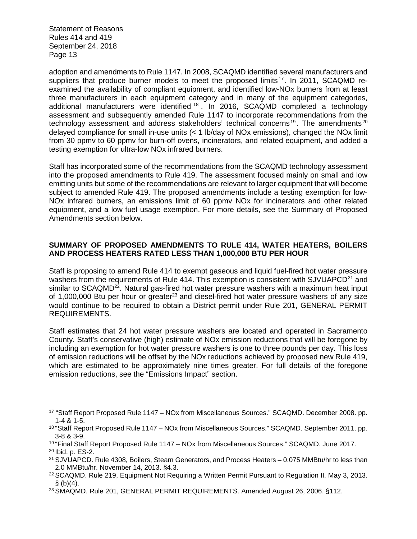adoption and amendments to Rule 1147. In 2008, SCAQMD identified several manufacturers and suppliers that produce burner models to meet the proposed limits<sup>17</sup>. In 2011, SCAQMD reexamined the availability of compliant equipment, and identified low-NOx burners from at least three manufacturers in each equipment category and in many of the equipment categories, additional manufacturers were identified <sup>18</sup> . In 2016, SCAQMD completed a technology assessment and subsequently amended Rule 1147 to incorporate recommendations from the technology assessment and address stakeholders' technical concerns<sup>19</sup>. The amendments<sup>20</sup> delayed compliance for small in-use units (< 1 lb/day of NOx emissions), changed the NOx limit from 30 ppmv to 60 ppmv for burn-off ovens, incinerators, and related equipment, and added a testing exemption for ultra-low NOx infrared burners.

Staff has incorporated some of the recommendations from the SCAQMD technology assessment into the proposed amendments to Rule 419. The assessment focused mainly on small and low emitting units but some of the recommendations are relevant to larger equipment that will become subject to amended Rule 419. The proposed amendments include a testing exemption for low-NOx infrared burners, an emissions limit of 60 ppmv NOx for incinerators and other related equipment, and a low fuel usage exemption. For more details, see the Summary of Proposed Amendments section below.

# **SUMMARY OF PROPOSED AMENDMENTS TO RULE 414, WATER HEATERS, BOILERS AND PROCESS HEATERS RATED LESS THAN 1,000,000 BTU PER HOUR**

Staff is proposing to amend Rule 414 to exempt gaseous and liquid fuel-fired hot water pressure washers from the requirements of Rule 414. This exemption is consistent with SJVUAPCD<sup>21</sup> and similar to SCAQMD<sup>22</sup>. Natural gas-fired hot water pressure washers with a maximum heat input of 1,000,000 Btu per hour or greater<sup>23</sup> and diesel-fired hot water pressure washers of any size would continue to be required to obtain a District permit under Rule 201, GENERAL PERMIT REQUIREMENTS.

Staff estimates that 24 hot water pressure washers are located and operated in Sacramento County. Staff's conservative (high) estimate of NOx emission reductions that will be foregone by including an exemption for hot water pressure washers is one to three pounds per day. This loss of emission reductions will be offset by the NOx reductions achieved by proposed new Rule 419, which are estimated to be approximately nine times greater. For full details of the foregone emission reductions, see the "Emissions Impact" section.

<sup>17</sup> "Staff Report Proposed Rule 1147 – NOx from Miscellaneous Sources." SCAQMD. December 2008. pp. 1-4 & 1-5.

<sup>18</sup> "Staff Report Proposed Rule 1147 – NOx from Miscellaneous Sources." SCAQMD. September 2011. pp. 3-8 & 3-9.

<sup>19</sup> "Final Staff Report Proposed Rule 1147 – NOx from Miscellaneous Sources." SCAQMD. June 2017. <sup>20</sup> Ibid. p. ES-2.

<sup>21</sup> SJVUAPCD. Rule 4308, Boilers, Steam Generators, and Process Heaters – 0.075 MMBtu/hr to less than 2.0 MMBtu/hr. November 14, 2013. §4.3.

<sup>22</sup> SCAQMD. Rule 219, Equipment Not Requiring a Written Permit Pursuant to Regulation II. May 3, 2013.  $§$  (b)(4).

<sup>23</sup> SMAQMD. Rule 201, GENERAL PERMIT REQUIREMENTS. Amended August 26, 2006. §112.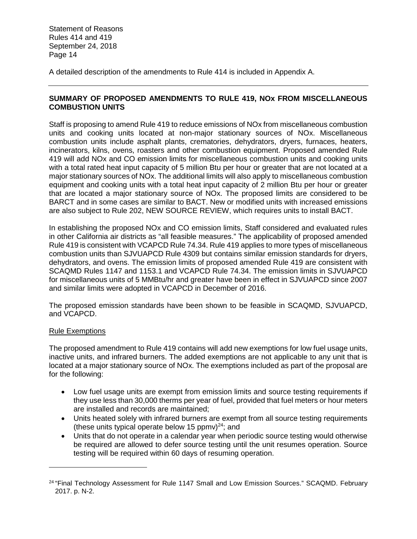A detailed description of the amendments to Rule 414 is included in Appendix A.

# **SUMMARY OF PROPOSED AMENDMENTS TO RULE 419, NOx FROM MISCELLANEOUS COMBUSTION UNITS**

Staff is proposing to amend Rule 419 to reduce emissions of NOx from miscellaneous combustion units and cooking units located at non-major stationary sources of NOx. Miscellaneous combustion units include asphalt plants, crematories, dehydrators, dryers, furnaces, heaters, incinerators, kilns, ovens, roasters and other combustion equipment. Proposed amended Rule 419 will add NOx and CO emission limits for miscellaneous combustion units and cooking units with a total rated heat input capacity of 5 million Btu per hour or greater that are not located at a major stationary sources of NOx. The additional limits will also apply to miscellaneous combustion equipment and cooking units with a total heat input capacity of 2 million Btu per hour or greater that are located a major stationary source of NOx. The proposed limits are considered to be BARCT and in some cases are similar to BACT. New or modified units with increased emissions are also subject to Rule 202, NEW SOURCE REVIEW, which requires units to install BACT.

In establishing the proposed NOx and CO emission limits, Staff considered and evaluated rules in other California air districts as "all feasible measures." The applicability of proposed amended Rule 419 is consistent with VCAPCD Rule 74.34. Rule 419 applies to more types of miscellaneous combustion units than SJVUAPCD Rule 4309 but contains similar emission standards for dryers, dehydrators, and ovens. The emission limits of proposed amended Rule 419 are consistent with SCAQMD Rules 1147 and 1153.1 and VCAPCD Rule 74.34. The emission limits in SJVUAPCD for miscellaneous units of 5 MMBtu/hr and greater have been in effect in SJVUAPCD since 2007 and similar limits were adopted in VCAPCD in December of 2016.

The proposed emission standards have been shown to be feasible in SCAQMD, SJVUAPCD, and VCAPCD.

#### Rule Exemptions

The proposed amendment to Rule 419 contains will add new exemptions for low fuel usage units, inactive units, and infrared burners. The added exemptions are not applicable to any unit that is located at a major stationary source of NOx. The exemptions included as part of the proposal are for the following:

- Low fuel usage units are exempt from emission limits and source testing requirements if they use less than 30,000 therms per year of fuel, provided that fuel meters or hour meters are installed and records are maintained;
- Units heated solely with infrared burners are exempt from all source testing requirements (these units typical operate below 15 ppmv) $^{24}$ ; and
- Units that do not operate in a calendar year when periodic source testing would otherwise be required are allowed to defer source testing until the unit resumes operation. Source testing will be required within 60 days of resuming operation.

<sup>&</sup>lt;sup>24</sup> "Final Technology Assessment for Rule 1147 Small and Low Emission Sources." SCAQMD. February 2017. p. N-2.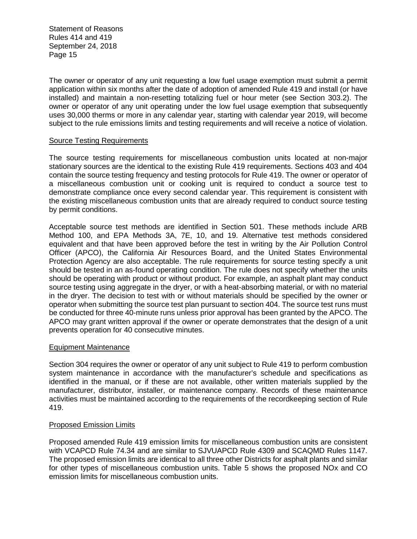The owner or operator of any unit requesting a low fuel usage exemption must submit a permit application within six months after the date of adoption of amended Rule 419 and install (or have installed) and maintain a non-resetting totalizing fuel or hour meter (see Section 303.2). The owner or operator of any unit operating under the low fuel usage exemption that subsequently uses 30,000 therms or more in any calendar year, starting with calendar year 2019, will become subject to the rule emissions limits and testing requirements and will receive a notice of violation.

#### Source Testing Requirements

The source testing requirements for miscellaneous combustion units located at non-major stationary sources are the identical to the existing Rule 419 requirements. Sections 403 and 404 contain the source testing frequency and testing protocols for Rule 419. The owner or operator of a miscellaneous combustion unit or cooking unit is required to conduct a source test to demonstrate compliance once every second calendar year. This requirement is consistent with the existing miscellaneous combustion units that are already required to conduct source testing by permit conditions.

Acceptable source test methods are identified in Section 501. These methods include ARB Method 100, and EPA Methods 3A, 7E, 10, and 19. Alternative test methods considered equivalent and that have been approved before the test in writing by the Air Pollution Control Officer (APCO), the California Air Resources Board, and the United States Environmental Protection Agency are also acceptable. The rule requirements for source testing specify a unit should be tested in an as-found operating condition. The rule does not specify whether the units should be operating with product or without product. For example, an asphalt plant may conduct source testing using aggregate in the dryer, or with a heat-absorbing material, or with no material in the dryer. The decision to test with or without materials should be specified by the owner or operator when submitting the source test plan pursuant to section 404. The source test runs must be conducted for three 40-minute runs unless prior approval has been granted by the APCO. The APCO may grant written approval if the owner or operate demonstrates that the design of a unit prevents operation for 40 consecutive minutes.

#### Equipment Maintenance

Section 304 requires the owner or operator of any unit subject to Rule 419 to perform combustion system maintenance in accordance with the manufacturer's schedule and specifications as identified in the manual, or if these are not available, other written materials supplied by the manufacturer, distributor, installer, or maintenance company. Records of these maintenance activities must be maintained according to the requirements of the recordkeeping section of Rule 419.

# Proposed Emission Limits

Proposed amended Rule 419 emission limits for miscellaneous combustion units are consistent with VCAPCD Rule 74.34 and are similar to SJVUAPCD Rule 4309 and SCAQMD Rules 1147. The proposed emission limits are identical to all three other Districts for asphalt plants and similar for other types of miscellaneous combustion units. Table 5 shows the proposed NOx and CO emission limits for miscellaneous combustion units.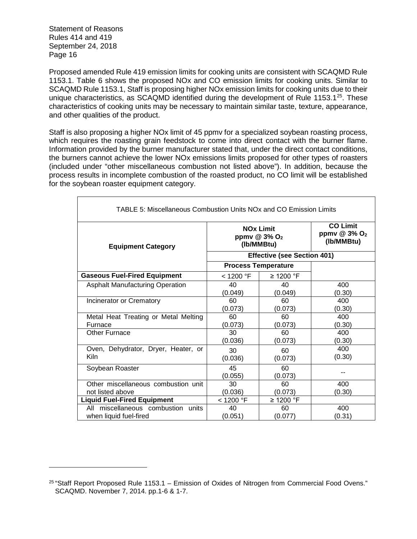Proposed amended Rule 419 emission limits for cooking units are consistent with SCAQMD Rule 1153.1. Table 6 shows the proposed NOx and CO emission limits for cooking units. Similar to SCAQMD Rule 1153.1, Staff is proposing higher NOx emission limits for cooking units due to their unique characteristics, as SCAQMD identified during the development of Rule 1153.1 $^{25}$ . These characteristics of cooking units may be necessary to maintain similar taste, texture, appearance, and other qualities of the product.

Staff is also proposing a higher NOx limit of 45 ppmv for a specialized soybean roasting process, which requires the roasting grain feedstock to come into direct contact with the burner flame. Information provided by the burner manufacturer stated that, under the direct contact conditions, the burners cannot achieve the lower NOx emissions limits proposed for other types of roasters (included under "other miscellaneous combustion not listed above"). In addition, because the process results in incomplete combustion of the roasted product, no CO limit will be established for the soybean roaster equipment category.

| <b>TABLE 5: Miscellaneous Combustion Units NOx and CO Emission Limits</b> |               |                                                            |                                                             |
|---------------------------------------------------------------------------|---------------|------------------------------------------------------------|-------------------------------------------------------------|
| <b>Equipment Category</b>                                                 |               | <b>NOx Limit</b><br>ppmv @ 3% O <sub>2</sub><br>(Ib/MMBtu) | <b>CO Limit</b><br>ppmv $@3\%$ O <sub>2</sub><br>(Ib/MMBtu) |
|                                                                           |               | <b>Effective (see Section 401)</b>                         |                                                             |
|                                                                           |               | <b>Process Temperature</b>                                 |                                                             |
| <b>Gaseous Fuel-Fired Equipment</b>                                       | < 1200 °F     | ≥ 1200 °F                                                  |                                                             |
| <b>Asphalt Manufacturing Operation</b>                                    | 40            | 40                                                         | 400                                                         |
|                                                                           | (0.049)       | (0.049)                                                    | (0.30)                                                      |
| Incinerator or Crematory                                                  | 60            | 60                                                         | 400                                                         |
|                                                                           | (0.073)       | (0.073)                                                    | (0.30)                                                      |
| Metal Heat Treating or Metal Melting                                      | 60            | 60                                                         | 400                                                         |
| Furnace                                                                   | (0.073)       | (0.073)                                                    | (0.30)                                                      |
| Other Furnace                                                             | 30            | 60                                                         | 400                                                         |
|                                                                           | (0.036)       | (0.073)                                                    | (0.30)                                                      |
| Oven, Dehydrator, Dryer, Heater, or                                       | 30            | 60                                                         | 400                                                         |
| <b>Kiln</b>                                                               | (0.036)       | (0.073)                                                    | (0.30)                                                      |
| Soybean Roaster                                                           | 45<br>(0.055) | 60<br>(0.073)                                              |                                                             |
| Other miscellaneous combustion unit                                       | 30            | 60                                                         | 400                                                         |
| not listed above                                                          | (0.036)       | (0.073)                                                    | (0.30)                                                      |
| <b>Liquid Fuel-Fired Equipment</b>                                        | $<$ 1200 °F   | $\geq$ 1200 °F                                             |                                                             |
| All miscellaneous combustion units                                        | 40            | 60                                                         | 400                                                         |
| when liquid fuel-fired                                                    | (0.051)       | (0.077)                                                    | (0.31)                                                      |

 $25$  "Staff Report Proposed Rule 1153.1 – Emission of Oxides of Nitrogen from Commercial Food Ovens." SCAQMD. November 7, 2014. pp.1-6 & 1-7.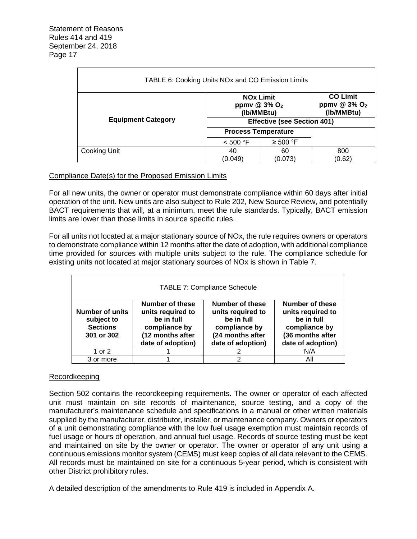| TABLE 6: Cooking Units NOx and CO Emission Limits                                                                       |                                    |                            |        |  |
|-------------------------------------------------------------------------------------------------------------------------|------------------------------------|----------------------------|--------|--|
| <b>CO Limit</b><br><b>NOx Limit</b><br>ppmv @ 3% O <sub>2</sub><br>ppmv @ 3% O <sub>2</sub><br>(Ib/MMBtu)<br>(Ib/MMBtu) |                                    |                            |        |  |
| <b>Equipment Category</b>                                                                                               | <b>Effective (see Section 401)</b> |                            |        |  |
|                                                                                                                         |                                    | <b>Process Temperature</b> |        |  |
|                                                                                                                         | < 500 °F                           | $\geq 500$ °F              |        |  |
| Cooking Unit                                                                                                            | 40                                 | 60                         | 800    |  |
|                                                                                                                         | (0.049)                            | (0.073)                    | (0.62) |  |

#### Compliance Date(s) for the Proposed Emission Limits

For all new units, the owner or operator must demonstrate compliance within 60 days after initial operation of the unit. New units are also subject to Rule 202, New Source Review, and potentially BACT requirements that will, at a minimum, meet the rule standards. Typically, BACT emission limits are lower than those limits in source specific rules.

For all units not located at a major stationary source of NOx, the rule requires owners or operators to demonstrate compliance within 12 months after the date of adoption, with additional compliance time provided for sources with multiple units subject to the rule. The compliance schedule for existing units not located at major stationary sources of NOx is shown in Table 7.

| <b>TABLE 7: Compliance Schedule</b>                                   |                                                                                                                     |                                                                                                                     |                                                                                                                     |
|-----------------------------------------------------------------------|---------------------------------------------------------------------------------------------------------------------|---------------------------------------------------------------------------------------------------------------------|---------------------------------------------------------------------------------------------------------------------|
| <b>Number of units</b><br>subject to<br><b>Sections</b><br>301 or 302 | <b>Number of these</b><br>units required to<br>be in full<br>compliance by<br>(12 months after<br>date of adoption) | <b>Number of these</b><br>units required to<br>be in full<br>compliance by<br>(24 months after<br>date of adoption) | <b>Number of these</b><br>units required to<br>be in full<br>compliance by<br>(36 months after<br>date of adoption) |
| 1 or 2                                                                |                                                                                                                     |                                                                                                                     | N/A                                                                                                                 |
| 3 or more                                                             |                                                                                                                     |                                                                                                                     | Αll                                                                                                                 |

#### Recordkeeping

Section 502 contains the recordkeeping requirements. The owner or operator of each affected unit must maintain on site records of maintenance, source testing, and a copy of the manufacturer's maintenance schedule and specifications in a manual or other written materials supplied by the manufacturer, distributor, installer, or maintenance company. Owners or operators of a unit demonstrating compliance with the low fuel usage exemption must maintain records of fuel usage or hours of operation, and annual fuel usage. Records of source testing must be kept and maintained on site by the owner or operator. The owner or operator of any unit using a continuous emissions monitor system (CEMS) must keep copies of all data relevant to the CEMS. All records must be maintained on site for a continuous 5-year period, which is consistent with other District prohibitory rules.

A detailed description of the amendments to Rule 419 is included in Appendix A.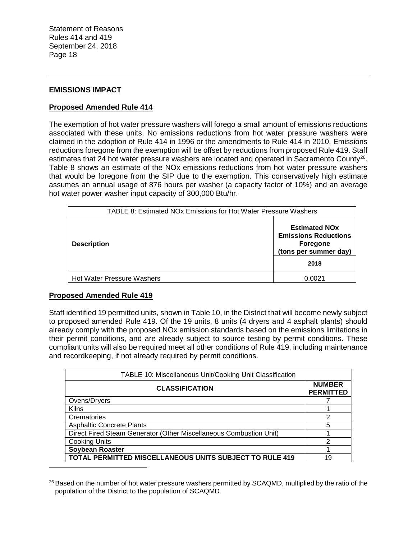#### **EMISSIONS IMPACT**

#### **Proposed Amended Rule 414**

The exemption of hot water pressure washers will forego a small amount of emissions reductions associated with these units. No emissions reductions from hot water pressure washers were claimed in the adoption of Rule 414 in 1996 or the amendments to Rule 414 in 2010. Emissions reductions foregone from the exemption will be offset by reductions from proposed Rule 419. Staff estimates that 24 hot water pressure washers are located and operated in Sacramento County<sup>26</sup>. Table 8 shows an estimate of the NOx emissions reductions from hot water pressure washers that would be foregone from the SIP due to the exemption. This conservatively high estimate assumes an annual usage of 876 hours per washer (a capacity factor of 10%) and an average hot water power washer input capacity of 300,000 Btu/hr.

| TABLE 8: Estimated NOx Emissions for Hot Water Pressure Washers |                                                                                          |
|-----------------------------------------------------------------|------------------------------------------------------------------------------------------|
| <b>Description</b>                                              | <b>Estimated NOx</b><br><b>Emissions Reductions</b><br>Foregone<br>(tons per summer day) |
|                                                                 | 2018                                                                                     |
| <b>Hot Water Pressure Washers</b>                               | <u>በ በበ21</u>                                                                            |

#### **Proposed Amended Rule 419**

Staff identified 19 permitted units, shown in Table 10, in the District that will become newly subject to proposed amended Rule 419. Of the 19 units, 8 units (4 dryers and 4 asphalt plants) should already comply with the proposed NOx emission standards based on the emissions limitations in their permit conditions, and are already subject to source testing by permit conditions. These compliant units will also be required meet all other conditions of Rule 419, including maintenance and recordkeeping, if not already required by permit conditions.

| TABLE 10: Miscellaneous Unit/Cooking Unit Classification           |                                   |  |  |
|--------------------------------------------------------------------|-----------------------------------|--|--|
| <b>CLASSIFICATION</b>                                              | <b>NUMBER</b><br><b>PERMITTED</b> |  |  |
| Ovens/Dryers                                                       |                                   |  |  |
| <b>Kilns</b>                                                       |                                   |  |  |
| Crematories                                                        | ႒                                 |  |  |
| <b>Asphaltic Concrete Plants</b>                                   | 5                                 |  |  |
| Direct Fired Steam Generator (Other Miscellaneous Combustion Unit) |                                   |  |  |
| <b>Cooking Units</b>                                               | 2                                 |  |  |
| Soybean Roaster                                                    |                                   |  |  |
| TOTAL PERMITTED MISCELLANEOUS UNITS SUBJECT TO RULE 419            | 19                                |  |  |

<sup>26</sup> Based on the number of hot water pressure washers permitted by SCAQMD, multiplied by the ratio of the population of the District to the population of SCAQMD.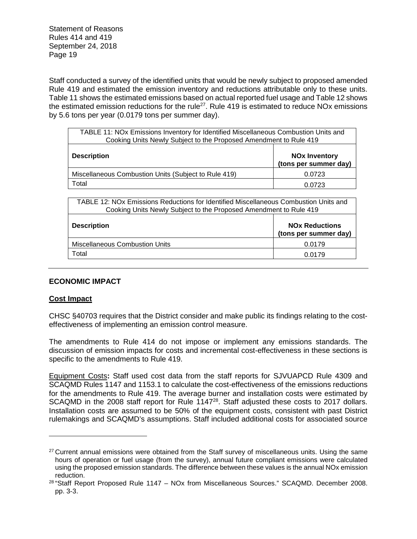Staff conducted a survey of the identified units that would be newly subject to proposed amended Rule 419 and estimated the emission inventory and reductions attributable only to these units. Table 11 shows the estimated emissions based on actual reported fuel usage and Table 12 shows the estimated emission reductions for the rule<sup>27</sup>. Rule 419 is estimated to reduce NO<sub>x</sub> emissions by 5.6 tons per year (0.0179 tons per summer day).

| TABLE 11: NOx Emissions Inventory for Identified Miscellaneous Combustion Units and<br>Cooking Units Newly Subject to the Proposed Amendment to Rule 419 |                                               |  |
|----------------------------------------------------------------------------------------------------------------------------------------------------------|-----------------------------------------------|--|
| <b>Description</b>                                                                                                                                       | <b>NOx Inventory</b><br>(tons per summer day) |  |
| Miscellaneous Combustion Units (Subject to Rule 419)                                                                                                     | 0.0723                                        |  |
| Total                                                                                                                                                    | 0.0723                                        |  |

| TABLE 12: NOx Emissions Reductions for Identified Miscellaneous Combustion Units and<br>Cooking Units Newly Subject to the Proposed Amendment to Rule 419 |                                                |  |
|-----------------------------------------------------------------------------------------------------------------------------------------------------------|------------------------------------------------|--|
| <b>Description</b>                                                                                                                                        | <b>NOx Reductions</b><br>(tons per summer day) |  |
| <b>Miscellaneous Combustion Units</b>                                                                                                                     | 0.0179                                         |  |
| Total                                                                                                                                                     | 0.0179                                         |  |

# **ECONOMIC IMPACT**

#### **Cost Impact**

CHSC §40703 requires that the District consider and make public its findings relating to the costeffectiveness of implementing an emission control measure.

The amendments to Rule 414 do not impose or implement any emissions standards. The discussion of emission impacts for costs and incremental cost-effectiveness in these sections is specific to the amendments to Rule 419.

Equipment Costs**:** Staff used cost data from the staff reports for SJVUAPCD Rule 4309 and SCAQMD Rules 1147 and 1153.1 to calculate the cost-effectiveness of the emissions reductions for the amendments to Rule 419. The average burner and installation costs were estimated by SCAQMD in the 2008 staff report for Rule 1147<sup>28</sup>. Staff adjusted these costs to 2017 dollars. Installation costs are assumed to be 50% of the equipment costs, consistent with past District rulemakings and SCAQMD's assumptions. Staff included additional costs for associated source

<sup>&</sup>lt;sup>27</sup> Current annual emissions were obtained from the Staff survey of miscellaneous units. Using the same hours of operation or fuel usage (from the survey), annual future compliant emissions were calculated using the proposed emission standards. The difference between these values is the annual NOx emission reduction.

<sup>&</sup>lt;sup>28</sup> "Staff Report Proposed Rule 1147 - NOx from Miscellaneous Sources." SCAQMD. December 2008. pp. 3-3.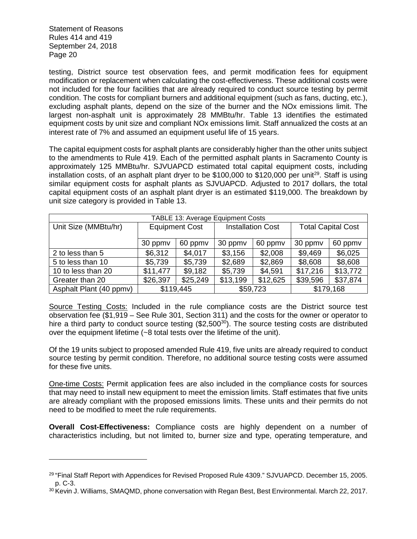testing, District source test observation fees, and permit modification fees for equipment modification or replacement when calculating the cost-effectiveness. These additional costs were not included for the four facilities that are already required to conduct source testing by permit condition. The costs for compliant burners and additional equipment (such as fans, ducting, etc.), excluding asphalt plants, depend on the size of the burner and the NOx emissions limit. The largest non-asphalt unit is approximately 28 MMBtu/hr. Table 13 identifies the estimated equipment costs by unit size and compliant NOx emissions limit. Staff annualized the costs at an interest rate of 7% and assumed an equipment useful life of 15 years.

The capital equipment costs for asphalt plants are considerably higher than the other units subject to the amendments to Rule 419. Each of the permitted asphalt plants in Sacramento County is approximately 125 MMBtu/hr. SJVUAPCD estimated total capital equipment costs, including installation costs, of an asphalt plant dryer to be \$100,000 to \$120,000 per unit<sup>29</sup>. Staff is using similar equipment costs for asphalt plants as SJVUAPCD. Adjusted to 2017 dollars, the total capital equipment costs of an asphalt plant dryer is an estimated \$119,000. The breakdown by unit size category is provided in Table 13.

| TABLE 13: Average Equipment Costs |                       |          |                          |          |                           |           |
|-----------------------------------|-----------------------|----------|--------------------------|----------|---------------------------|-----------|
| Unit Size (MMBtu/hr)              | <b>Equipment Cost</b> |          | <b>Installation Cost</b> |          | <b>Total Capital Cost</b> |           |
|                                   |                       |          |                          |          |                           |           |
|                                   | 30 ppmv               | 60 ppmv  | 30 ppmv                  | 60 ppmv  | 30 ppmv                   | 60 ppmv   |
| 2 to less than 5                  | \$6,312               | \$4,017  | \$3,156                  | \$2,008  | \$9,469                   | \$6,025   |
| 5 to less than 10                 | \$5,739               | \$5,739  | \$2,689                  | \$2,869  | \$8,608                   | \$8,608   |
| 10 to less than 20                | \$11,477              | \$9,182  | \$5,739                  | \$4,591  | \$17,216                  | \$13,772  |
| Greater than 20                   | \$26,397              | \$25,249 | \$13,199                 | \$12,625 | \$39,596                  | \$37,874  |
| Asphalt Plant (40 ppmv)           | \$119,445             |          |                          | \$59,723 |                           | \$179,168 |

Source Testing Costs: Included in the rule compliance costs are the District source test observation fee (\$1,919 – See Rule 301, Section 311) and the costs for the owner or operator to hire a third party to conduct source testing  $(\$2,500^{30})$ . The source testing costs are distributed over the equipment lifetime (~8 total tests over the lifetime of the unit).

Of the 19 units subject to proposed amended Rule 419, five units are already required to conduct source testing by permit condition. Therefore, no additional source testing costs were assumed for these five units.

One-time Costs: Permit application fees are also included in the compliance costs for sources that may need to install new equipment to meet the emission limits. Staff estimates that five units are already compliant with the proposed emissions limits. These units and their permits do not need to be modified to meet the rule requirements.

**Overall Cost-Effectiveness:** Compliance costs are highly dependent on a number of characteristics including, but not limited to, burner size and type, operating temperature, and

<sup>29</sup> "Final Staff Report with Appendices for Revised Proposed Rule 4309." SJVUAPCD. December 15, 2005. p. C-3.

<sup>30</sup> Kevin J. Williams, SMAQMD, phone conversation with Regan Best, Best Environmental. March 22, 2017.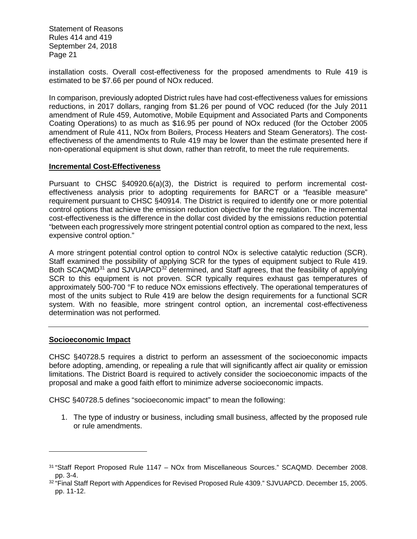installation costs. Overall cost-effectiveness for the proposed amendments to Rule 419 is estimated to be \$7.66 per pound of NOx reduced.

In comparison, previously adopted District rules have had cost-effectiveness values for emissions reductions, in 2017 dollars, ranging from \$1.26 per pound of VOC reduced (for the July 2011 amendment of Rule 459, Automotive, Mobile Equipment and Associated Parts and Components Coating Operations) to as much as \$16.95 per pound of NOx reduced (for the October 2005 amendment of Rule 411, NOx from Boilers, Process Heaters and Steam Generators). The costeffectiveness of the amendments to Rule 419 may be lower than the estimate presented here if non-operational equipment is shut down, rather than retrofit, to meet the rule requirements.

#### **Incremental Cost-Effectiveness**

Pursuant to CHSC §40920.6(a)(3), the District is required to perform incremental costeffectiveness analysis prior to adopting requirements for BARCT or a "feasible measure" requirement pursuant to CHSC §40914. The District is required to identify one or more potential control options that achieve the emission reduction objective for the regulation. The incremental cost-effectiveness is the difference in the dollar cost divided by the emissions reduction potential "between each progressively more stringent potential control option as compared to the next, less expensive control option."

A more stringent potential control option to control NOx is selective catalytic reduction (SCR). Staff examined the possibility of applying SCR for the types of equipment subject to Rule 419. Both SCAQMD<sup>31</sup> and SJVUAPCD<sup>32</sup> determined, and Staff agrees, that the feasibility of applying SCR to this equipment is not proven. SCR typically requires exhaust gas temperatures of approximately 500-700 °F to reduce NOx emissions effectively. The operational temperatures of most of the units subject to Rule 419 are below the design requirements for a functional SCR system. With no feasible, more stringent control option, an incremental cost-effectiveness determination was not performed.

#### **Socioeconomic Impact**

CHSC §40728.5 requires a district to perform an assessment of the socioeconomic impacts before adopting, amending, or repealing a rule that will significantly affect air quality or emission limitations. The District Board is required to actively consider the socioeconomic impacts of the proposal and make a good faith effort to minimize adverse socioeconomic impacts.

CHSC §40728.5 defines "socioeconomic impact" to mean the following:

1. The type of industry or business, including small business, affected by the proposed rule or rule amendments.

<sup>31</sup> "Staff Report Proposed Rule 1147 – NOx from Miscellaneous Sources." SCAQMD. December 2008. pp. 3-4.

<sup>&</sup>lt;sup>32 "</sup>Final Staff Report with Appendices for Revised Proposed Rule 4309." SJVUAPCD. December 15, 2005. pp. 11-12.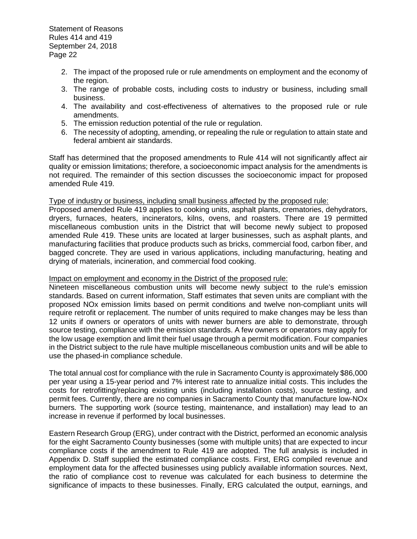- 2. The impact of the proposed rule or rule amendments on employment and the economy of the region.
- 3. The range of probable costs, including costs to industry or business, including small business.
- 4. The availability and cost-effectiveness of alternatives to the proposed rule or rule amendments.
- 5. The emission reduction potential of the rule or regulation.
- 6. The necessity of adopting, amending, or repealing the rule or regulation to attain state and federal ambient air standards.

Staff has determined that the proposed amendments to Rule 414 will not significantly affect air quality or emission limitations; therefore, a socioeconomic impact analysis for the amendments is not required. The remainder of this section discusses the socioeconomic impact for proposed amended Rule 419.

#### Type of industry or business, including small business affected by the proposed rule:

Proposed amended Rule 419 applies to cooking units, asphalt plants, crematories, dehydrators, dryers, furnaces, heaters, incinerators, kilns, ovens, and roasters. There are 19 permitted miscellaneous combustion units in the District that will become newly subject to proposed amended Rule 419. These units are located at larger businesses, such as asphalt plants, and manufacturing facilities that produce products such as bricks, commercial food, carbon fiber, and bagged concrete. They are used in various applications, including manufacturing, heating and drying of materials, incineration, and commercial food cooking.

#### Impact on employment and economy in the District of the proposed rule:

Nineteen miscellaneous combustion units will become newly subject to the rule's emission standards. Based on current information, Staff estimates that seven units are compliant with the proposed NOx emission limits based on permit conditions and twelve non-compliant units will require retrofit or replacement. The number of units required to make changes may be less than 12 units if owners or operators of units with newer burners are able to demonstrate, through source testing, compliance with the emission standards. A few owners or operators may apply for the low usage exemption and limit their fuel usage through a permit modification. Four companies in the District subject to the rule have multiple miscellaneous combustion units and will be able to use the phased-in compliance schedule.

The total annual cost for compliance with the rule in Sacramento County is approximately \$86,000 per year using a 15-year period and 7% interest rate to annualize initial costs. This includes the costs for retrofitting/replacing existing units (including installation costs), source testing, and permit fees. Currently, there are no companies in Sacramento County that manufacture low-NOx burners. The supporting work (source testing, maintenance, and installation) may lead to an increase in revenue if performed by local businesses.

Eastern Research Group (ERG), under contract with the District, performed an economic analysis for the eight Sacramento County businesses (some with multiple units) that are expected to incur compliance costs if the amendment to Rule 419 are adopted. The full analysis is included in Appendix D. Staff supplied the estimated compliance costs. First, ERG compiled revenue and employment data for the affected businesses using publicly available information sources. Next, the ratio of compliance cost to revenue was calculated for each business to determine the significance of impacts to these businesses. Finally, ERG calculated the output, earnings, and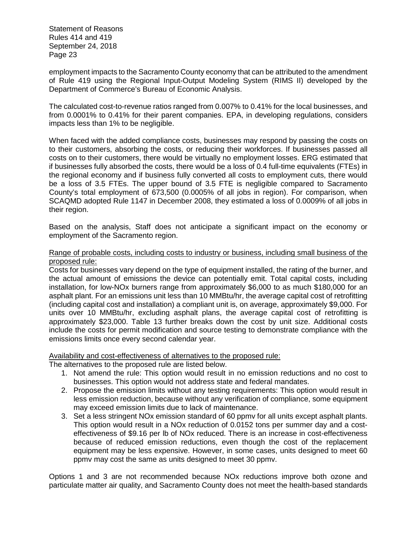employment impacts to the Sacramento County economy that can be attributed to the amendment of Rule 419 using the Regional Input-Output Modeling System (RIMS II) developed by the Department of Commerce's Bureau of Economic Analysis.

The calculated cost-to-revenue ratios ranged from 0.007% to 0.41% for the local businesses, and from 0.0001% to 0.41% for their parent companies. EPA, in developing regulations, considers impacts less than 1% to be negligible.

When faced with the added compliance costs, businesses may respond by passing the costs on to their customers, absorbing the costs, or reducing their workforces. If businesses passed all costs on to their customers, there would be virtually no employment losses. ERG estimated that if businesses fully absorbed the costs, there would be a loss of 0.4 full-time equivalents (FTEs) in the regional economy and if business fully converted all costs to employment cuts, there would be a loss of 3.5 FTEs. The upper bound of 3.5 FTE is negligible compared to Sacramento County's total employment of 673,500 (0.0005% of all jobs in region). For comparison, when SCAQMD adopted Rule 1147 in December 2008, they estimated a loss of 0.0009% of all jobs in their region.

Based on the analysis, Staff does not anticipate a significant impact on the economy or employment of the Sacramento region.

#### Range of probable costs, including costs to industry or business, including small business of the proposed rule:

Costs for businesses vary depend on the type of equipment installed, the rating of the burner, and the actual amount of emissions the device can potentially emit. Total capital costs, including installation, for low-NOx burners range from approximately \$6,000 to as much \$180,000 for an asphalt plant. For an emissions unit less than 10 MMBtu/hr, the average capital cost of retrofitting (including capital cost and installation) a compliant unit is, on average, approximately \$9,000. For units over 10 MMBtu/hr, excluding asphalt plans, the average capital cost of retrofitting is approximately \$23,000. Table 13 further breaks down the cost by unit size. Additional costs include the costs for permit modification and source testing to demonstrate compliance with the emissions limits once every second calendar year.

Availability and cost-effectiveness of alternatives to the proposed rule:

The alternatives to the proposed rule are listed below.

- 1. Not amend the rule: This option would result in no emission reductions and no cost to businesses. This option would not address state and federal mandates.
- 2. Propose the emission limits without any testing requirements: This option would result in less emission reduction, because without any verification of compliance, some equipment may exceed emission limits due to lack of maintenance.
- 3. Set a less stringent NOx emission standard of 60 ppmv for all units except asphalt plants. This option would result in a NOx reduction of 0.0152 tons per summer day and a costeffectiveness of \$9.16 per lb of NOx reduced. There is an increase in cost-effectiveness because of reduced emission reductions, even though the cost of the replacement equipment may be less expensive. However, in some cases, units designed to meet 60 ppmv may cost the same as units designed to meet 30 ppmv.

Options 1 and 3 are not recommended because NOx reductions improve both ozone and particulate matter air quality, and Sacramento County does not meet the health-based standards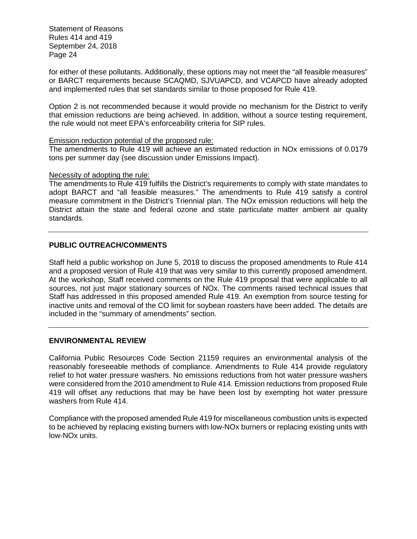for either of these pollutants. Additionally, these options may not meet the "all feasible measures" or BARCT requirements because SCAQMD, SJVUAPCD, and VCAPCD have already adopted and implemented rules that set standards similar to those proposed for Rule 419.

Option 2 is not recommended because it would provide no mechanism for the District to verify that emission reductions are being achieved. In addition, without a source testing requirement, the rule would not meet EPA's enforceability criteria for SIP rules.

#### Emission reduction potential of the proposed rule:

The amendments to Rule 419 will achieve an estimated reduction in NOx emissions of 0.0179 tons per summer day (see discussion under Emissions Impact).

#### Necessity of adopting the rule:

The amendments to Rule 419 fulfills the District's requirements to comply with state mandates to adopt BARCT and "all feasible measures." The amendments to Rule 419 satisfy a control measure commitment in the District's Triennial plan. The NOx emission reductions will help the District attain the state and federal ozone and state particulate matter ambient air quality standards.

# **PUBLIC OUTREACH/COMMENTS**

Staff held a public workshop on June 5, 2018 to discuss the proposed amendments to Rule 414 and a proposed version of Rule 419 that was very similar to this currently proposed amendment. At the workshop, Staff received comments on the Rule 419 proposal that were applicable to all sources, not just major stationary sources of NOx. The comments raised technical issues that Staff has addressed in this proposed amended Rule 419. An exemption from source testing for inactive units and removal of the CO limit for soybean roasters have been added. The details are included in the "summary of amendments" section.

# **ENVIRONMENTAL REVIEW**

California Public Resources Code Section 21159 requires an environmental analysis of the reasonably foreseeable methods of compliance. Amendments to Rule 414 provide regulatory relief to hot water pressure washers. No emissions reductions from hot water pressure washers were considered from the 2010 amendment to Rule 414. Emission reductions from proposed Rule 419 will offset any reductions that may be have been lost by exempting hot water pressure washers from Rule 414.

Compliance with the proposed amended Rule 419 for miscellaneous combustion units is expected to be achieved by replacing existing burners with low-NOx burners or replacing existing units with low-NOx units.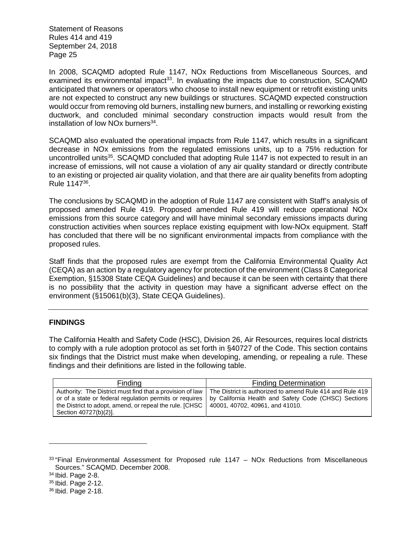In 2008, SCAQMD adopted Rule 1147, NOx Reductions from Miscellaneous Sources, and examined its environmental impact<sup>33</sup>. In evaluating the impacts due to construction, SCAQMD anticipated that owners or operators who choose to install new equipment or retrofit existing units are not expected to construct any new buildings or structures. SCAQMD expected construction would occur from removing old burners, installing new burners, and installing or reworking existing ductwork, and concluded minimal secondary construction impacts would result from the installation of low NOx burners<sup>34</sup>.

SCAQMD also evaluated the operational impacts from Rule 1147, which results in a significant decrease in NOx emissions from the regulated emissions units, up to a 75% reduction for uncontrolled units<sup>35</sup>. SCAQMD concluded that adopting Rule 1147 is not expected to result in an increase of emissions, will not cause a violation of any air quality standard or directly contribute to an existing or projected air quality violation, and that there are air quality benefits from adopting Rule 1147<sup>36</sup> .

The conclusions by SCAQMD in the adoption of Rule 1147 are consistent with Staff's analysis of proposed amended Rule 419. Proposed amended Rule 419 will reduce operational NOx emissions from this source category and will have minimal secondary emissions impacts during construction activities when sources replace existing equipment with low-NOx equipment. Staff has concluded that there will be no significant environmental impacts from compliance with the proposed rules.

Staff finds that the proposed rules are exempt from the California Environmental Quality Act (CEQA) as an action by a regulatory agency for protection of the environment (Class 8 Categorical Exemption, §15308 State CEQA Guidelines) and because it can be seen with certainty that there is no possibility that the activity in question may have a significant adverse effect on the environment (§15061(b)(3), State CEQA Guidelines).

# **FINDINGS**

The California Health and Safety Code (HSC), Division 26, Air Resources, requires local districts to comply with a rule adoption protocol as set forth in §40727 of the Code. This section contains six findings that the District must make when developing, amending, or repealing a rule. These findings and their definitions are listed in the following table.

| Finding                                                                                                                                                                                                  | <b>Finding Determination</b>                                                                                                                         |
|----------------------------------------------------------------------------------------------------------------------------------------------------------------------------------------------------------|------------------------------------------------------------------------------------------------------------------------------------------------------|
| Authority: The District must find that a provision of law<br>or of a state or federal regulation permits or requires<br>the District to adopt, amend, or repeal the rule. [CHSC<br>Section 40727(b)(2)]. | The District is authorized to amend Rule 414 and Rule 419<br>by California Health and Safety Code (CHSC) Sections<br>40001, 40702, 40961, and 41010. |

 $33$  "Final Environmental Assessment for Proposed rule 1147 – NOx Reductions from Miscellaneous Sources." SCAQMD. December 2008.

<sup>34</sup> Ibid. Page 2-8.

<sup>35</sup> Ibid. Page 2-12.

<sup>36</sup> Ibid. Page 2-18.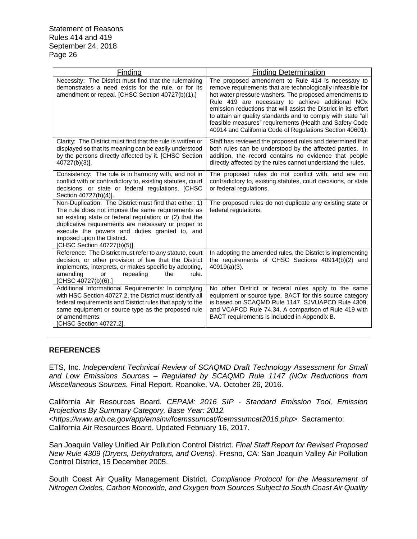| Finding                                                                                                                                                                                                                                                                                                                                       | <b>Finding Determination</b>                                                                                                                                                                                                                                                                                                                                                                                                                                                               |
|-----------------------------------------------------------------------------------------------------------------------------------------------------------------------------------------------------------------------------------------------------------------------------------------------------------------------------------------------|--------------------------------------------------------------------------------------------------------------------------------------------------------------------------------------------------------------------------------------------------------------------------------------------------------------------------------------------------------------------------------------------------------------------------------------------------------------------------------------------|
| Necessity: The District must find that the rulemaking<br>demonstrates a need exists for the rule, or for its<br>amendment or repeal. [CHSC Section 40727(b)(1).]                                                                                                                                                                              | The proposed amendment to Rule 414 is necessary to<br>remove requirements that are technologically infeasible for<br>hot water pressure washers. The proposed amendments to<br>Rule 419 are necessary to achieve additional NOx<br>emission reductions that will assist the District in its effort<br>to attain air quality standards and to comply with state "all<br>feasible measures" requirements (Health and Safety Code<br>40914 and California Code of Regulations Section 40601). |
| Clarity: The District must find that the rule is written or<br>displayed so that its meaning can be easily understood<br>by the persons directly affected by it. [CHSC Section<br>40727(b)(3)].                                                                                                                                               | Staff has reviewed the proposed rules and determined that<br>both rules can be understood by the affected parties. In<br>addition, the record contains no evidence that people<br>directly affected by the rules cannot understand the rules.                                                                                                                                                                                                                                              |
| Consistency: The rule is in harmony with, and not in<br>conflict with or contradictory to, existing statutes, court<br>decisions, or state or federal regulations. [CHSC<br>Section 40727(b)(4)].                                                                                                                                             | The proposed rules do not conflict with, and are not<br>contradictory to, existing statutes, court decisions, or state<br>or federal regulations.                                                                                                                                                                                                                                                                                                                                          |
| Non-Duplication: The District must find that either: 1)<br>The rule does not impose the same requirements as<br>an existing state or federal regulation; or (2) that the<br>duplicative requirements are necessary or proper to<br>execute the powers and duties granted to, and<br>imposed upon the District.<br>[CHSC Section 40727(b)(5)]. | The proposed rules do not duplicate any existing state or<br>federal regulations.                                                                                                                                                                                                                                                                                                                                                                                                          |
| Reference: The District must refer to any statute, court<br>decision, or other provision of law that the District<br>implements, interprets, or makes specific by adopting,<br>amending<br>rule.<br>repealing<br>the<br>or<br>[CHSC 40727(b)(6).]                                                                                             | In adopting the amended rules, the District is implementing<br>the requirements of CHSC Sections 40914(b)(2) and<br>40919(a)(3).                                                                                                                                                                                                                                                                                                                                                           |
| Additional Informational Requirements: In complying<br>with HSC Section 40727.2, the District must identify all<br>federal requirements and District rules that apply to the<br>same equipment or source type as the proposed rule<br>or amendments.<br>[CHSC Section 40727.2].                                                               | No other District or federal rules apply to the same<br>equipment or source type. BACT for this source category<br>is based on SCAQMD Rule 1147, SJVUAPCD Rule 4309,<br>and VCAPCD Rule 74.34. A comparison of Rule 419 with<br>BACT requirements is included in Appendix B.                                                                                                                                                                                                               |

# **REFERENCES**

ETS, Inc. *Independent Technical Review of SCAQMD Draft Technology Assessment for Small and Low Emissions Sources – Regulated by SCAQMD Rule 1147 (NOx Reductions from Miscellaneous Sources.* Final Report. Roanoke, VA. October 26, 2016.

California Air Resources Board*. CEPAM: 2016 SIP - Standard Emission Tool, Emission Projections By Summary Category, Base Year: 2012.*

*<https://www.arb.ca.gov/app/emsinv/fcemssumcat/fcemssumcat2016.php>.* Sacramento: California Air Resources Board. Updated February 16, 2017.

San Joaquin Valley Unified Air Pollution Control District. *Final Staff Report for Revised Proposed New Rule 4309 (Dryers, Dehydrators, and Ovens)*. Fresno, CA: San Joaquin Valley Air Pollution Control District, 15 December 2005.

South Coast Air Quality Management District. *Compliance Protocol for the Measurement of Nitrogen Oxides, Carbon Monoxide, and Oxygen from Sources Subject to South Coast Air Quality*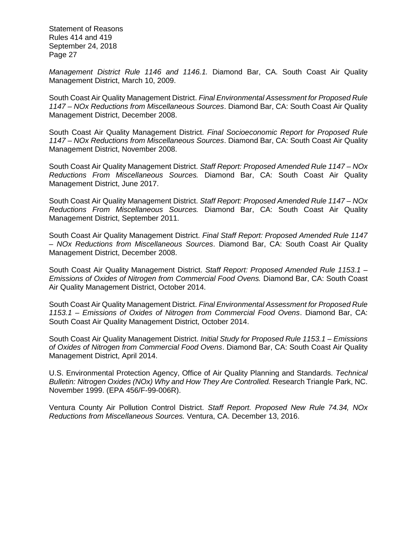*Management District Rule 1146 and 1146.1.* Diamond Bar, CA. South Coast Air Quality Management District, March 10, 2009.

South Coast Air Quality Management District. *Final Environmental Assessment for Proposed Rule 1147 – NOx Reductions from Miscellaneous Sources*. Diamond Bar, CA: South Coast Air Quality Management District, December 2008.

South Coast Air Quality Management District. *Final Socioeconomic Report for Proposed Rule 1147 – NOx Reductions from Miscellaneous Sources*. Diamond Bar, CA: South Coast Air Quality Management District, November 2008.

South Coast Air Quality Management District. *Staff Report: Proposed Amended Rule 1147 – NOx Reductions From Miscellaneous Sources.* Diamond Bar, CA: South Coast Air Quality Management District, June 2017.

South Coast Air Quality Management District. *Staff Report: Proposed Amended Rule 1147 – NOx Reductions From Miscellaneous Sources.* Diamond Bar, CA: South Coast Air Quality Management District, September 2011.

South Coast Air Quality Management District. *Final Staff Report: Proposed Amended Rule 1147 – NOx Reductions from Miscellaneous Sources*. Diamond Bar, CA: South Coast Air Quality Management District, December 2008.

South Coast Air Quality Management District. *Staff Report: Proposed Amended Rule 1153.1 – Emissions of Oxides of Nitrogen from Commercial Food Ovens.* Diamond Bar, CA: South Coast Air Quality Management District, October 2014.

South Coast Air Quality Management District. *Final Environmental Assessment for Proposed Rule 1153.1 – Emissions of Oxides of Nitrogen from Commercial Food Ovens*. Diamond Bar, CA: South Coast Air Quality Management District, October 2014.

South Coast Air Quality Management District. *Initial Study for Proposed Rule 1153.1 – Emissions of Oxides of Nitrogen from Commercial Food Ovens*. Diamond Bar, CA: South Coast Air Quality Management District, April 2014.

U.S. Environmental Protection Agency, Office of Air Quality Planning and Standards. *Technical Bulletin: Nitrogen Oxides (NOx) Why and How They Are Controlled.* Research Triangle Park, NC. November 1999. (EPA 456/F-99-006R).

Ventura County Air Pollution Control District. *Staff Report. Proposed New Rule 74.34, NOx Reductions from Miscellaneous Sources.* Ventura, CA. December 13, 2016.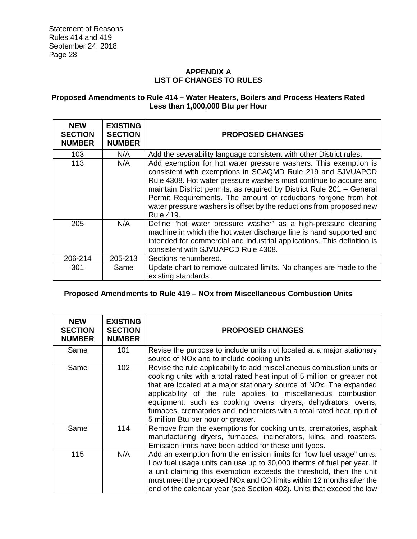# **APPENDIX A LIST OF CHANGES TO RULES**

# **Proposed Amendments to Rule 414 – Water Heaters, Boilers and Process Heaters Rated Less than 1,000,000 Btu per Hour**

| <b>NEW</b><br><b>SECTION</b><br><b>NUMBER</b> | <b>EXISTING</b><br><b>SECTION</b><br><b>NUMBER</b> | <b>PROPOSED CHANGES</b>                                                                                                                                                                                                                                                                                                                                                                                                                    |
|-----------------------------------------------|----------------------------------------------------|--------------------------------------------------------------------------------------------------------------------------------------------------------------------------------------------------------------------------------------------------------------------------------------------------------------------------------------------------------------------------------------------------------------------------------------------|
| 103                                           | N/A                                                | Add the severability language consistent with other District rules.                                                                                                                                                                                                                                                                                                                                                                        |
| 113                                           | N/A                                                | Add exemption for hot water pressure washers. This exemption is<br>consistent with exemptions in SCAQMD Rule 219 and SJVUAPCD<br>Rule 4308. Hot water pressure washers must continue to acquire and<br>maintain District permits, as required by District Rule 201 - General<br>Permit Requirements. The amount of reductions forgone from hot<br>water pressure washers is offset by the reductions from proposed new<br><b>Rule 419.</b> |
| 205                                           | N/A                                                | Define "hot water pressure washer" as a high-pressure cleaning<br>machine in which the hot water discharge line is hand supported and<br>intended for commercial and industrial applications. This definition is<br>consistent with SJVUAPCD Rule 4308.                                                                                                                                                                                    |
| 206-214                                       | 205-213                                            | Sections renumbered.                                                                                                                                                                                                                                                                                                                                                                                                                       |
| 301                                           | Same                                               | Update chart to remove outdated limits. No changes are made to the<br>existing standards.                                                                                                                                                                                                                                                                                                                                                  |

# **Proposed Amendments to Rule 419 – NOx from Miscellaneous Combustion Units**

| <b>NEW</b><br><b>SECTION</b><br><b>NUMBER</b> | <b>EXISTING</b><br><b>SECTION</b><br><b>NUMBER</b> | <b>PROPOSED CHANGES</b>                                                                                                                                                                                                                                                                                                                                                                                                                                                                 |
|-----------------------------------------------|----------------------------------------------------|-----------------------------------------------------------------------------------------------------------------------------------------------------------------------------------------------------------------------------------------------------------------------------------------------------------------------------------------------------------------------------------------------------------------------------------------------------------------------------------------|
| Same                                          | 101                                                | Revise the purpose to include units not located at a major stationary<br>source of NO <sub>x</sub> and to include cooking units                                                                                                                                                                                                                                                                                                                                                         |
| Same                                          | 102                                                | Revise the rule applicability to add miscellaneous combustion units or<br>cooking units with a total rated heat input of 5 million or greater not<br>that are located at a major stationary source of NO <sub>x</sub> . The expanded<br>applicability of the rule applies to miscellaneous combustion<br>equipment: such as cooking ovens, dryers, dehydrators, ovens,<br>furnaces, crematories and incinerators with a total rated heat input of<br>5 million Btu per hour or greater. |
| Same                                          | 114                                                | Remove from the exemptions for cooking units, crematories, asphalt<br>manufacturing dryers, furnaces, incinerators, kilns, and roasters.<br>Emission limits have been added for these unit types.                                                                                                                                                                                                                                                                                       |
| 115                                           | N/A                                                | Add an exemption from the emission limits for "low fuel usage" units.<br>Low fuel usage units can use up to 30,000 therms of fuel per year. If<br>a unit claiming this exemption exceeds the threshold, then the unit<br>must meet the proposed NO <sub>x</sub> and CO limits within 12 months after the<br>end of the calendar year (see Section 402). Units that exceed the low                                                                                                       |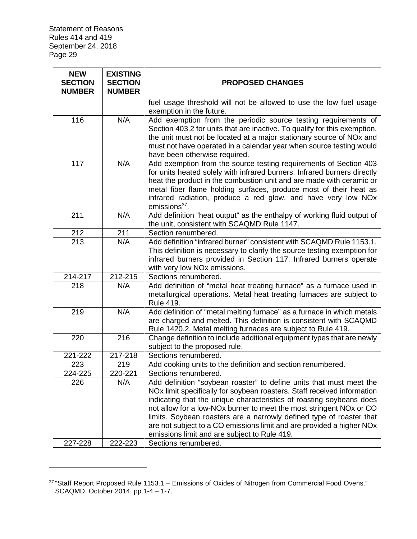| <b>NEW</b><br><b>SECTION</b><br><b>NUMBER</b> | <b>EXISTING</b><br><b>SECTION</b><br><b>NUMBER</b> | <b>PROPOSED CHANGES</b>                                                                                                                                                                                                                                                                                                                                                                                                                                                                                    |
|-----------------------------------------------|----------------------------------------------------|------------------------------------------------------------------------------------------------------------------------------------------------------------------------------------------------------------------------------------------------------------------------------------------------------------------------------------------------------------------------------------------------------------------------------------------------------------------------------------------------------------|
|                                               |                                                    | fuel usage threshold will not be allowed to use the low fuel usage<br>exemption in the future.                                                                                                                                                                                                                                                                                                                                                                                                             |
| 116                                           | N/A                                                | Add exemption from the periodic source testing requirements of<br>Section 403.2 for units that are inactive. To qualify for this exemption,<br>the unit must not be located at a major stationary source of NOx and<br>must not have operated in a calendar year when source testing would<br>have been otherwise required.                                                                                                                                                                                |
| 117                                           | N/A                                                | Add exemption from the source testing requirements of Section 403<br>for units heated solely with infrared burners. Infrared burners directly<br>heat the product in the combustion unit and are made with ceramic or<br>metal fiber flame holding surfaces, produce most of their heat as<br>infrared radiation, produce a red glow, and have very low NOx<br>emissions <sup>37</sup> .                                                                                                                   |
| 211                                           | N/A                                                | Add definition "heat output" as the enthalpy of working fluid output of<br>the unit, consistent with SCAQMD Rule 1147.                                                                                                                                                                                                                                                                                                                                                                                     |
| 212                                           | 211                                                | Section renumbered.                                                                                                                                                                                                                                                                                                                                                                                                                                                                                        |
| 213                                           | N/A                                                | Add definition "infrared burner" consistent with SCAQMD Rule 1153.1.<br>This definition is necessary to clarify the source testing exemption for<br>infrared burners provided in Section 117. Infrared burners operate<br>with very low NOx emissions.                                                                                                                                                                                                                                                     |
| 214-217                                       | 212-215                                            | Sections renumbered.                                                                                                                                                                                                                                                                                                                                                                                                                                                                                       |
| 218                                           | N/A                                                | Add definition of "metal heat treating furnace" as a furnace used in<br>metallurgical operations. Metal heat treating furnaces are subject to<br>Rule 419.                                                                                                                                                                                                                                                                                                                                                 |
| 219                                           | N/A                                                | Add definition of "metal melting furnace" as a furnace in which metals<br>are charged and melted. This definition is consistent with SCAQMD<br>Rule 1420.2. Metal melting furnaces are subject to Rule 419.                                                                                                                                                                                                                                                                                                |
| 220                                           | 216                                                | Change definition to include additional equipment types that are newly<br>subject to the proposed rule.                                                                                                                                                                                                                                                                                                                                                                                                    |
| 221-222                                       | 217-218                                            | Sections renumbered.                                                                                                                                                                                                                                                                                                                                                                                                                                                                                       |
| 223                                           | 219                                                | Add cooking units to the definition and section renumbered.                                                                                                                                                                                                                                                                                                                                                                                                                                                |
| 224-225                                       | 220-221                                            | Sections renumbered.                                                                                                                                                                                                                                                                                                                                                                                                                                                                                       |
| 226                                           | N/A                                                | Add definition "soybean roaster" to define units that must meet the<br>NO <sub>x</sub> limit specifically for soybean roasters. Staff received information<br>indicating that the unique characteristics of roasting soybeans does<br>not allow for a low-NOx burner to meet the most stringent NOx or CO<br>limits. Soybean roasters are a narrowly defined type of roaster that<br>are not subject to a CO emissions limit and are provided a higher NOx<br>emissions limit and are subject to Rule 419. |
| 227-228                                       | 222-223                                            | Sections renumbered.                                                                                                                                                                                                                                                                                                                                                                                                                                                                                       |

 $37$  "Staff Report Proposed Rule 1153.1 – Emissions of Oxides of Nitrogen from Commercial Food Ovens." SCAQMD. October 2014. pp.1-4 – 1-7.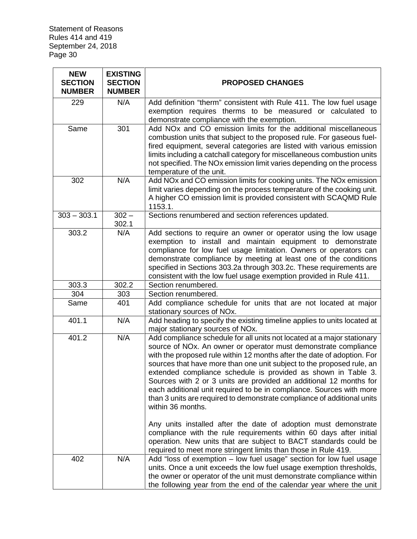| <b>NEW</b><br><b>SECTION</b><br><b>NUMBER</b> | <b>EXISTING</b><br><b>SECTION</b><br><b>NUMBER</b> | <b>PROPOSED CHANGES</b>                                                                                                                |
|-----------------------------------------------|----------------------------------------------------|----------------------------------------------------------------------------------------------------------------------------------------|
| 229                                           | N/A                                                | Add definition "therm" consistent with Rule 411. The low fuel usage                                                                    |
|                                               |                                                    | exemption requires therms to be measured or calculated to                                                                              |
|                                               |                                                    | demonstrate compliance with the exemption.                                                                                             |
| Same                                          | 301                                                | Add NO <sub>x</sub> and CO emission limits for the additional miscellaneous                                                            |
|                                               |                                                    | combustion units that subject to the proposed rule. For gaseous fuel-                                                                  |
|                                               |                                                    | fired equipment, several categories are listed with various emission                                                                   |
|                                               |                                                    | limits including a catchall category for miscellaneous combustion units                                                                |
|                                               |                                                    | not specified. The NOx emission limit varies depending on the process                                                                  |
|                                               |                                                    | temperature of the unit.                                                                                                               |
| 302                                           | N/A                                                | Add NOx and CO emission limits for cooking units. The NOx emission                                                                     |
|                                               |                                                    | limit varies depending on the process temperature of the cooking unit.                                                                 |
|                                               |                                                    | A higher CO emission limit is provided consistent with SCAQMD Rule                                                                     |
|                                               |                                                    | 1153.1.                                                                                                                                |
| $303 - 303.1$                                 | $302 -$<br>302.1                                   | Sections renumbered and section references updated.                                                                                    |
| 303.2                                         | N/A                                                | Add sections to require an owner or operator using the low usage                                                                       |
|                                               |                                                    | exemption to install and maintain equipment to demonstrate                                                                             |
|                                               |                                                    | compliance for low fuel usage limitation. Owners or operators can                                                                      |
|                                               |                                                    | demonstrate compliance by meeting at least one of the conditions                                                                       |
|                                               |                                                    | specified in Sections 303.2a through 303.2c. These requirements are                                                                    |
|                                               |                                                    | consistent with the low fuel usage exemption provided in Rule 411.                                                                     |
| 303.3                                         | 302.2                                              | Section renumbered.                                                                                                                    |
| 304                                           | 303                                                | Section renumbered.                                                                                                                    |
| Same                                          | 401                                                | Add compliance schedule for units that are not located at major                                                                        |
|                                               |                                                    | stationary sources of NOx.                                                                                                             |
| 401.1                                         | N/A                                                | Add heading to specify the existing timeline applies to units located at<br>major stationary sources of NOx.                           |
| 401.2                                         | N/A                                                | Add compliance schedule for all units not located at a major stationary                                                                |
|                                               |                                                    | source of NOx. An owner or operator must demonstrate compliance                                                                        |
|                                               |                                                    | with the proposed rule within 12 months after the date of adoption. For                                                                |
|                                               |                                                    | sources that have more than one unit subject to the proposed rule, an<br>extended compliance schedule is provided as shown in Table 3. |
|                                               |                                                    | Sources with 2 or 3 units are provided an additional 12 months for                                                                     |
|                                               |                                                    | each additional unit required to be in compliance. Sources with more                                                                   |
|                                               |                                                    | than 3 units are required to demonstrate compliance of additional units                                                                |
|                                               |                                                    | within 36 months.                                                                                                                      |
|                                               |                                                    | Any units installed after the date of adoption must demonstrate                                                                        |
|                                               |                                                    | compliance with the rule requirements within 60 days after initial                                                                     |
|                                               |                                                    | operation. New units that are subject to BACT standards could be                                                                       |
|                                               |                                                    | required to meet more stringent limits than those in Rule 419.                                                                         |
| 402                                           | N/A                                                | Add "loss of exemption - low fuel usage" section for low fuel usage                                                                    |
|                                               |                                                    | units. Once a unit exceeds the low fuel usage exemption thresholds,                                                                    |
|                                               |                                                    | the owner or operator of the unit must demonstrate compliance within                                                                   |
|                                               |                                                    | the following year from the end of the calendar year where the unit                                                                    |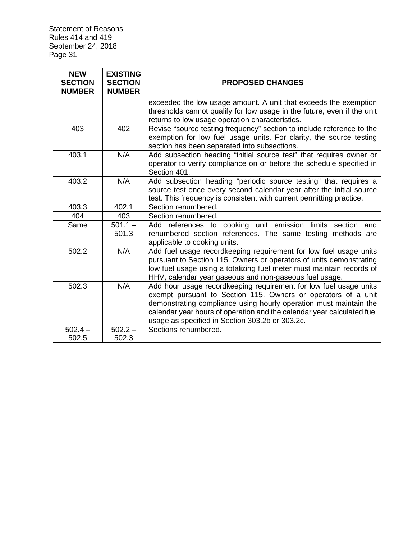| <b>NEW</b><br><b>SECTION</b><br><b>NUMBER</b> | <b>EXISTING</b><br><b>SECTION</b><br><b>NUMBER</b> | <b>PROPOSED CHANGES</b>                                                                                                                                                                                                                                                                                                              |  |
|-----------------------------------------------|----------------------------------------------------|--------------------------------------------------------------------------------------------------------------------------------------------------------------------------------------------------------------------------------------------------------------------------------------------------------------------------------------|--|
|                                               |                                                    | exceeded the low usage amount. A unit that exceeds the exemption<br>thresholds cannot qualify for low usage in the future, even if the unit<br>returns to low usage operation characteristics.                                                                                                                                       |  |
| 403                                           | 402                                                | Revise "source testing frequency" section to include reference to the<br>exemption for low fuel usage units. For clarity, the source testing<br>section has been separated into subsections.                                                                                                                                         |  |
| 403.1                                         | N/A                                                | Add subsection heading "initial source test" that requires owner or<br>operator to verify compliance on or before the schedule specified in<br>Section 401.                                                                                                                                                                          |  |
| 403.2                                         | N/A                                                | Add subsection heading "periodic source testing" that requires a<br>source test once every second calendar year after the initial source<br>test. This frequency is consistent with current permitting practice.                                                                                                                     |  |
| 403.3                                         | 402.1                                              | Section renumbered.                                                                                                                                                                                                                                                                                                                  |  |
| 404                                           | 403                                                | Section renumbered.                                                                                                                                                                                                                                                                                                                  |  |
| Same                                          | $501.1 -$<br>501.3                                 | Add references to cooking unit emission limits section and<br>renumbered section references. The same testing methods are<br>applicable to cooking units.                                                                                                                                                                            |  |
| 502.2                                         | N/A                                                | Add fuel usage recordkeeping requirement for low fuel usage units<br>pursuant to Section 115. Owners or operators of units demonstrating<br>low fuel usage using a totalizing fuel meter must maintain records of<br>HHV, calendar year gaseous and non-gaseous fuel usage.                                                          |  |
| 502.3                                         | N/A                                                | Add hour usage recordkeeping requirement for low fuel usage units<br>exempt pursuant to Section 115. Owners or operators of a unit<br>demonstrating compliance using hourly operation must maintain the<br>calendar year hours of operation and the calendar year calculated fuel<br>usage as specified in Section 303.2b or 303.2c. |  |
| $502.4 -$                                     | $502.2 -$                                          | Sections renumbered.                                                                                                                                                                                                                                                                                                                 |  |
| 502.5                                         | 502.3                                              |                                                                                                                                                                                                                                                                                                                                      |  |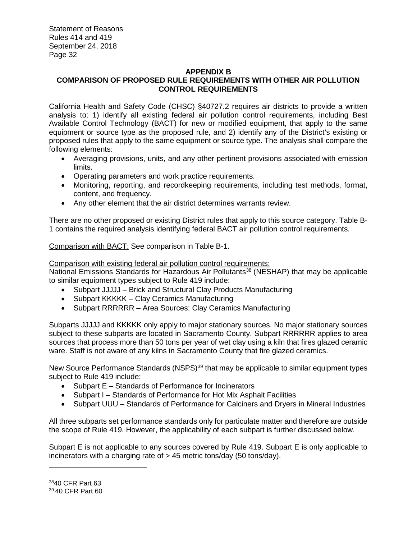# **APPENDIX B COMPARISON OF PROPOSED RULE REQUIREMENTS WITH OTHER AIR POLLUTION CONTROL REQUIREMENTS**

California Health and Safety Code (CHSC) §40727.2 requires air districts to provide a written analysis to: 1) identify all existing federal air pollution control requirements, including Best Available Control Technology (BACT) for new or modified equipment, that apply to the same equipment or source type as the proposed rule, and 2) identify any of the District's existing or proposed rules that apply to the same equipment or source type. The analysis shall compare the following elements:

- Averaging provisions, units, and any other pertinent provisions associated with emission limits.
- Operating parameters and work practice requirements.
- Monitoring, reporting, and recordkeeping requirements, including test methods, format, content, and frequency.
- Any other element that the air district determines warrants review.

There are no other proposed or existing District rules that apply to this source category. Table B-1 contains the required analysis identifying federal BACT air pollution control requirements.

Comparison with BACT: See comparison in Table B-1.

# Comparison with existing federal air pollution control requirements:

National Emissions Standards for Hazardous Air Pollutants<sup>38</sup> (NESHAP) that may be applicable to similar equipment types subject to Rule 419 include:

- Subpart JJJJJ Brick and Structural Clay Products Manufacturing
- Subpart KKKKK Clay Ceramics Manufacturing
- Subpart RRRRRR Area Sources: Clay Ceramics Manufacturing

Subparts JJJJJ and KKKKK only apply to major stationary sources. No major stationary sources subject to these subparts are located in Sacramento County. Subpart RRRRRR applies to area sources that process more than 50 tons per year of wet clay using a kiln that fires glazed ceramic ware. Staff is not aware of any kilns in Sacramento County that fire glazed ceramics.

New Source Performance Standards (NSPS)<sup>39</sup> that may be applicable to similar equipment types subject to Rule 419 include:

- Subpart E Standards of Performance for Incinerators
- Subpart I Standards of Performance for Hot Mix Asphalt Facilities
- Subpart UUU Standards of Performance for Calciners and Dryers in Mineral Industries

All three subparts set performance standards only for particulate matter and therefore are outside the scope of Rule 419. However, the applicability of each subpart is further discussed below.

Subpart E is not applicable to any sources covered by Rule 419. Subpart E is only applicable to incinerators with a charging rate of > 45 metric tons/day (50 tons/day).

<sup>38</sup>40 CFR Part 63 <sup>39</sup> 40 CFR Part 60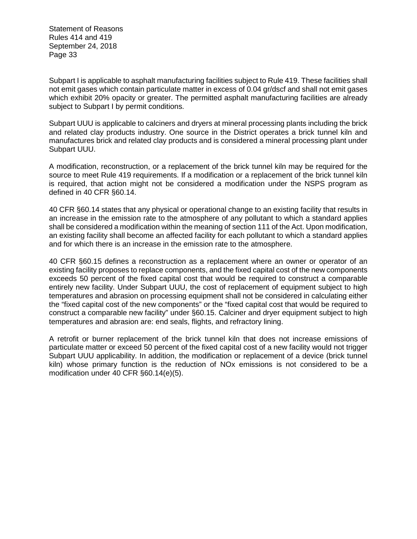Subpart I is applicable to asphalt manufacturing facilities subject to Rule 419. These facilities shall not emit gases which contain particulate matter in excess of 0.04 gr/dscf and shall not emit gases which exhibit 20% opacity or greater. The permitted asphalt manufacturing facilities are already subject to Subpart I by permit conditions.

Subpart UUU is applicable to calciners and dryers at mineral processing plants including the brick and related clay products industry. One source in the District operates a brick tunnel kiln and manufactures brick and related clay products and is considered a mineral processing plant under Subpart UUU.

A modification, reconstruction, or a replacement of the brick tunnel kiln may be required for the source to meet Rule 419 requirements. If a modification or a replacement of the brick tunnel kiln is required, that action might not be considered a modification under the NSPS program as defined in 40 CFR §60.14.

40 CFR §60.14 states that any physical or operational change to an existing facility that results in an increase in the emission rate to the atmosphere of any pollutant to which a standard applies shall be considered a modification within the meaning of section 111 of the Act. Upon modification, an existing facility shall become an affected facility for each pollutant to which a standard applies and for which there is an increase in the emission rate to the atmosphere.

40 CFR §60.15 defines a reconstruction as a replacement where an owner or operator of an existing facility proposes to replace components, and the fixed capital cost of the new components exceeds 50 percent of the fixed capital cost that would be required to construct a comparable entirely new facility. Under Subpart UUU, the cost of replacement of equipment subject to high temperatures and abrasion on processing equipment shall not be considered in calculating either the "fixed capital cost of the new components" or the "fixed capital cost that would be required to construct a comparable new facility" under §60.15. Calciner and dryer equipment subject to high temperatures and abrasion are: end seals, flights, and refractory lining.

A retrofit or burner replacement of the brick tunnel kiln that does not increase emissions of particulate matter or exceed 50 percent of the fixed capital cost of a new facility would not trigger Subpart UUU applicability. In addition, the modification or replacement of a device (brick tunnel kiln) whose primary function is the reduction of NOx emissions is not considered to be a modification under 40 CFR §60.14(e)(5).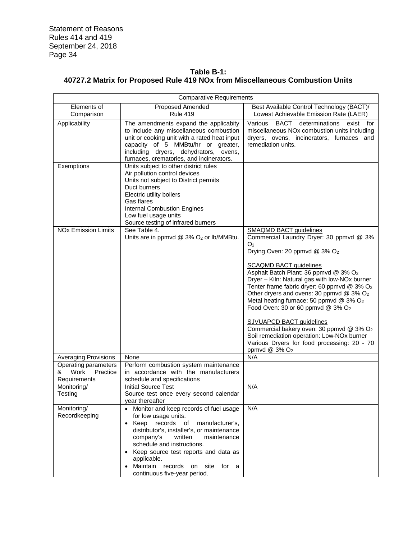# **Table B-1: 40727.2 Matrix for Proposed Rule 419 NOx from Miscellaneous Combustion Units**

| <b>Comparative Requirements</b>       |                                                     |                                                                                        |  |  |  |
|---------------------------------------|-----------------------------------------------------|----------------------------------------------------------------------------------------|--|--|--|
| Elements of                           | Proposed Amended                                    | Best Available Control Technology (BACT)/                                              |  |  |  |
| Comparison                            | <b>Rule 419</b>                                     | Lowest Achievable Emission Rate (LAER)                                                 |  |  |  |
| Applicability                         | The amendments expand the applicabity               | BACT<br>determinations<br>Various<br>exist for                                         |  |  |  |
|                                       | to include any miscellaneous combustion             | miscellaneous NOx combustion units including                                           |  |  |  |
|                                       | unit or cooking unit with a rated heat input        | dryers, ovens, incinerators, furnaces and                                              |  |  |  |
|                                       | capacity of 5 MMBtu/hr or greater,                  | remediation units.                                                                     |  |  |  |
|                                       | including dryers, dehydrators, ovens,               |                                                                                        |  |  |  |
|                                       | furnaces, crematories, and incinerators.            |                                                                                        |  |  |  |
| Exemptions                            | Units subject to other district rules               |                                                                                        |  |  |  |
|                                       | Air pollution control devices                       |                                                                                        |  |  |  |
|                                       | Units not subject to District permits               |                                                                                        |  |  |  |
|                                       | Duct burners                                        |                                                                                        |  |  |  |
|                                       | Electric utility boilers                            |                                                                                        |  |  |  |
|                                       | Gas flares                                          |                                                                                        |  |  |  |
|                                       | <b>Internal Combustion Engines</b>                  |                                                                                        |  |  |  |
|                                       | Low fuel usage units                                |                                                                                        |  |  |  |
|                                       | Source testing of infrared burners                  |                                                                                        |  |  |  |
| <b>NO<sub>x</sub></b> Emission Limits | See Table 4.                                        | <b>SMAQMD BACT guidelines</b>                                                          |  |  |  |
|                                       | Units are in ppmvd @ 3% O <sub>2</sub> or lb/MMBtu. | Commercial Laundry Dryer: 30 ppmvd @ 3%<br>O <sub>2</sub>                              |  |  |  |
|                                       |                                                     | Drying Oven: 20 ppmvd @ 3% O <sub>2</sub>                                              |  |  |  |
|                                       |                                                     |                                                                                        |  |  |  |
|                                       |                                                     | <b>SCAQMD BACT guidelines</b>                                                          |  |  |  |
|                                       |                                                     | Asphalt Batch Plant: 36 ppmvd @ 3% O2                                                  |  |  |  |
|                                       |                                                     | Dryer - Kiln: Natural gas with low-NOx burner                                          |  |  |  |
|                                       |                                                     | Tenter frame fabric dryer: 60 ppmvd @ 3% O2                                            |  |  |  |
|                                       |                                                     | Other dryers and ovens: 30 ppmvd @ 3% O2                                               |  |  |  |
|                                       |                                                     | Metal heating furnace: 50 ppmvd @ 3% O2                                                |  |  |  |
|                                       |                                                     | Food Oven: 30 or 60 ppmvd @ 3% O <sub>2</sub>                                          |  |  |  |
|                                       |                                                     |                                                                                        |  |  |  |
|                                       |                                                     | <b>SJVUAPCD BACT guidelines</b>                                                        |  |  |  |
|                                       |                                                     | Commercial bakery oven: 30 ppmvd @ 3% O2<br>Soil remediation operation: Low-NOx burner |  |  |  |
|                                       |                                                     | Various Dryers for food processing: 20 - 70                                            |  |  |  |
|                                       |                                                     | ppmvd @ 3% O <sub>2</sub>                                                              |  |  |  |
| <b>Averaging Provisions</b>           | None                                                | N/A                                                                                    |  |  |  |
| Operating parameters                  | Perform combustion system maintenance               |                                                                                        |  |  |  |
| Work<br>Practice<br>&                 | in accordance with the manufacturers                |                                                                                        |  |  |  |
| Requirements                          | schedule and specifications                         |                                                                                        |  |  |  |
| Monitoring/                           | <b>Initial Source Test</b>                          | N/A                                                                                    |  |  |  |
| Testing                               | Source test once every second calendar              |                                                                                        |  |  |  |
|                                       | year thereafter                                     |                                                                                        |  |  |  |
| Monitoring/                           | • Monitor and keep records of fuel usage            | N/A                                                                                    |  |  |  |
| Recordkeeping                         | for low usage units.                                |                                                                                        |  |  |  |
|                                       | Keep records<br>of<br>manufacturer's,               |                                                                                        |  |  |  |
|                                       | distributor's, installer's, or maintenance          |                                                                                        |  |  |  |
|                                       | company's<br>written<br>maintenance                 |                                                                                        |  |  |  |
|                                       | schedule and instructions.                          |                                                                                        |  |  |  |
|                                       | Keep source test reports and data as                |                                                                                        |  |  |  |
|                                       | applicable.                                         |                                                                                        |  |  |  |
|                                       | Maintain<br>records on site for a                   |                                                                                        |  |  |  |
|                                       | continuous five-year period.                        |                                                                                        |  |  |  |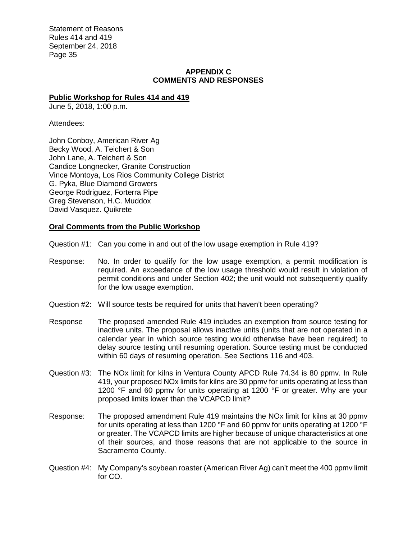#### **APPENDIX C COMMENTS AND RESPONSES**

#### **Public Workshop for Rules 414 and 419**

June 5, 2018, 1:00 p.m.

Attendees:

John Conboy, American River Ag Becky Wood, A. Teichert & Son John Lane, A. Teichert & Son Candice Longnecker, Granite Construction Vince Montoya, Los Rios Community College District G. Pyka, Blue Diamond Growers George Rodriguez, Forterra Pipe Greg Stevenson, H.C. Muddox David Vasquez. Quikrete

#### **Oral Comments from the Public Workshop**

Question #1: Can you come in and out of the low usage exemption in Rule 419?

- Response: No. In order to qualify for the low usage exemption, a permit modification is required. An exceedance of the low usage threshold would result in violation of permit conditions and under Section 402; the unit would not subsequently qualify for the low usage exemption.
- Question #2: Will source tests be required for units that haven't been operating?
- Response The proposed amended Rule 419 includes an exemption from source testing for inactive units. The proposal allows inactive units (units that are not operated in a calendar year in which source testing would otherwise have been required) to delay source testing until resuming operation. Source testing must be conducted within 60 days of resuming operation. See Sections 116 and 403.
- Question #3: The NOx limit for kilns in Ventura County APCD Rule 74.34 is 80 ppmv. In Rule 419, your proposed NOx limits for kilns are 30 ppmv for units operating at less than 1200 °F and 60 ppmy for units operating at 1200 °F or greater. Why are your proposed limits lower than the VCAPCD limit?
- Response: The proposed amendment Rule 419 maintains the NOx limit for kilns at 30 ppmv for units operating at less than 1200 °F and 60 ppmv for units operating at 1200 °F or greater. The VCAPCD limits are higher because of unique characteristics at one of their sources, and those reasons that are not applicable to the source in Sacramento County.
- Question #4: My Company's soybean roaster (American River Ag) can't meet the 400 ppmv limit for CO.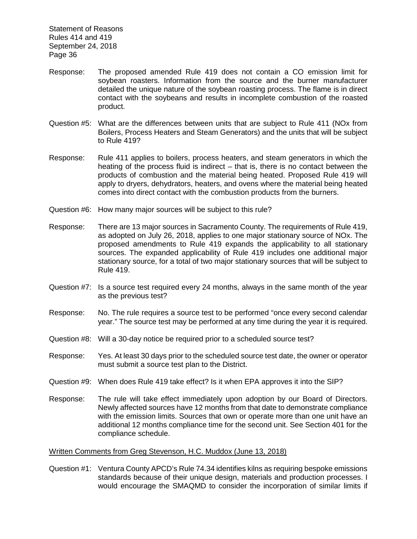- Response: The proposed amended Rule 419 does not contain a CO emission limit for soybean roasters. Information from the source and the burner manufacturer detailed the unique nature of the soybean roasting process. The flame is in direct contact with the soybeans and results in incomplete combustion of the roasted product.
- Question #5: What are the differences between units that are subject to Rule 411 (NOx from Boilers, Process Heaters and Steam Generators) and the units that will be subject to Rule 419?
- Response: Rule 411 applies to boilers, process heaters, and steam generators in which the heating of the process fluid is indirect – that is, there is no contact between the products of combustion and the material being heated. Proposed Rule 419 will apply to dryers, dehydrators, heaters, and ovens where the material being heated comes into direct contact with the combustion products from the burners.
- Question #6: How many major sources will be subject to this rule?
- Response: There are 13 major sources in Sacramento County. The requirements of Rule 419, as adopted on July 26, 2018, applies to one major stationary source of NOx. The proposed amendments to Rule 419 expands the applicability to all stationary sources. The expanded applicability of Rule 419 includes one additional major stationary source, for a total of two major stationary sources that will be subject to Rule 419.
- Question #7: Is a source test required every 24 months, always in the same month of the year as the previous test?
- Response: No. The rule requires a source test to be performed "once every second calendar year." The source test may be performed at any time during the year it is required.
- Question #8: Will a 30-day notice be required prior to a scheduled source test?
- Response: Yes. At least 30 days prior to the scheduled source test date, the owner or operator must submit a source test plan to the District.
- Question #9: When does Rule 419 take effect? Is it when EPA approves it into the SIP?
- Response: The rule will take effect immediately upon adoption by our Board of Directors. Newly affected sources have 12 months from that date to demonstrate compliance with the emission limits. Sources that own or operate more than one unit have an additional 12 months compliance time for the second unit. See Section 401 for the compliance schedule.

#### Written Comments from Greg Stevenson, H.C. Muddox (June 13, 2018)

Question #1: Ventura County APCD's Rule 74.34 identifies kilns as requiring bespoke emissions standards because of their unique design, materials and production processes. I would encourage the SMAQMD to consider the incorporation of similar limits if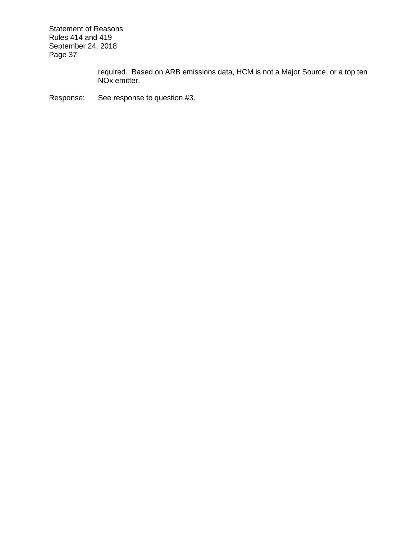> required. Based on ARB emissions data, HCM is not a Major Source, or a top ten NOx emitter.

Response: See response to question #3.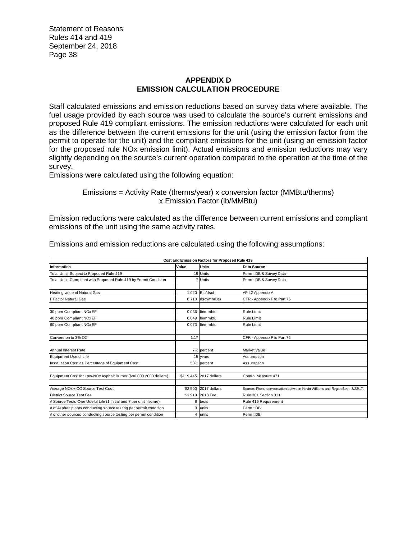#### **APPENDIX D EMISSION CALCULATION PROCEDURE**

Staff calculated emissions and emission reductions based on survey data where available. The fuel usage provided by each source was used to calculate the source's current emissions and proposed Rule 419 compliant emissions. The emission reductions were calculated for each unit as the difference between the current emissions for the unit (using the emission factor from the permit to operate for the unit) and the compliant emissions for the unit (using an emission factor for the proposed rule NOx emission limit). Actual emissions and emission reductions may vary slightly depending on the source's current operation compared to the operation at the time of the survey.

Emissions were calculated using the following equation:

Emissions = Activity Rate (therms/year) x conversion factor (MMBtu/therms) x Emission Factor (lb/MMBtu)

Emission reductions were calculated as the difference between current emissions and compliant emissions of the unit using the same activity rates.

| Cost and Emission Factors for Proposed Rule 419                     |                |                        |                                                                            |  |  |  |  |  |  |
|---------------------------------------------------------------------|----------------|------------------------|----------------------------------------------------------------------------|--|--|--|--|--|--|
| Information                                                         | Value          | <b>Units</b>           | Data Source                                                                |  |  |  |  |  |  |
| Total Units Subject to Proposed Rule 419                            |                | 19 Units               | Permit DB & Survey Data                                                    |  |  |  |  |  |  |
| Total Units Compliant with Proposed Rule 419 by Permit Condition    |                | 7 Units                | Permit DB & Survey Data                                                    |  |  |  |  |  |  |
|                                                                     |                |                        |                                                                            |  |  |  |  |  |  |
| Heating value of Natural Gas                                        |                | 1.020 Btu/dscf         | AP 42 Appendix A                                                           |  |  |  |  |  |  |
| F Factor Natural Gas                                                |                | 8.710 dscf/mmBtu       | CFR - Appendix F to Part 75                                                |  |  |  |  |  |  |
|                                                                     |                |                        |                                                                            |  |  |  |  |  |  |
| 30 ppm Compliant NOx EF                                             |                | 0.036 lb/mmbtu         | <b>Rule Limit</b>                                                          |  |  |  |  |  |  |
| 40 ppm Compliant NOx EF                                             |                | 0.049 b/mmbtu          | <b>Rule Limit</b>                                                          |  |  |  |  |  |  |
| 60 ppm Compliant NOx EF                                             |                | 0.073 b/mmbtu          | <b>Rule Limit</b>                                                          |  |  |  |  |  |  |
|                                                                     |                |                        |                                                                            |  |  |  |  |  |  |
| Conversion to 3% O2                                                 | 1.17           |                        | CFR - Appendix F to Part 75                                                |  |  |  |  |  |  |
|                                                                     |                |                        |                                                                            |  |  |  |  |  |  |
| Annual Interest Rate                                                |                | 7% percent             | <b>Market Value</b>                                                        |  |  |  |  |  |  |
| Equipment Useful Life                                               |                | 15 years               | Assumption                                                                 |  |  |  |  |  |  |
| Installation Cost as Percentage of Equipment Cost                   |                | 50% percent            | Assumption                                                                 |  |  |  |  |  |  |
|                                                                     |                |                        |                                                                            |  |  |  |  |  |  |
| Equipment Cost for Low-NOx Asphalt Burner (\$90,000 2003 dollars)   |                | \$119,445 2017 dollars | Control Measure 471                                                        |  |  |  |  |  |  |
|                                                                     |                |                        |                                                                            |  |  |  |  |  |  |
| Average NOx + CO Source Test Cost                                   |                | \$2,500 2017 dollars   | Source: Phone conversation between Kevin Williams and Regan Best, 3/22/17. |  |  |  |  |  |  |
| District Source Test Fee                                            |                | \$1,919 2018 Fee       | Rule 301 Section 311                                                       |  |  |  |  |  |  |
| # Source Tests Over Useful Life (1 Initial and 7 per unit lifetime) | 8              | tests                  | Rule 419 Requirement                                                       |  |  |  |  |  |  |
| # of Asphalt plants conducting source testing per permit condition  | 3              | lunits                 | Permit DB                                                                  |  |  |  |  |  |  |
| # of other sources conducting source testing per permit condition   | $\overline{4}$ | units                  | Permit DB                                                                  |  |  |  |  |  |  |

Emissions and emission reductions are calculated using the following assumptions: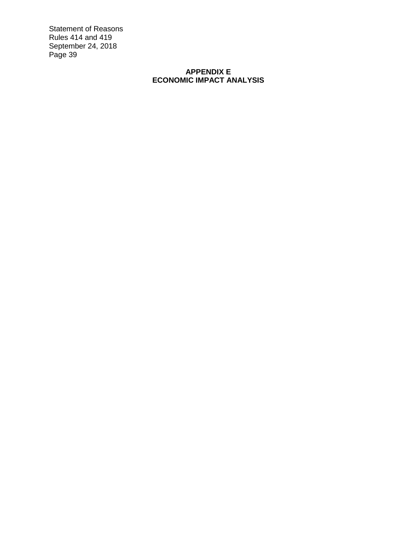# **APPENDIX E ECONOMIC IMPACT ANALYSIS**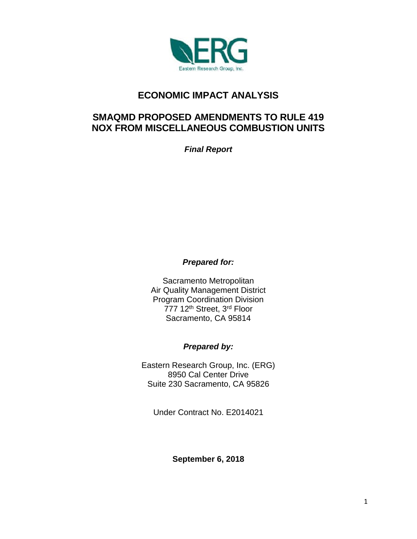

# **ECONOMIC IMPACT ANALYSIS**

# **SMAQMD PROPOSED AMENDMENTS TO RULE 419 NOX FROM MISCELLANEOUS COMBUSTION UNITS**

*Final Report*

*Prepared for:*

Sacramento Metropolitan Air Quality Management District Program Coordination Division 777 12<sup>th</sup> Street, 3<sup>rd</sup> Floor Sacramento, CA 95814

# *Prepared by:*

Eastern Research Group, Inc. (ERG) 8950 Cal Center Drive Suite 230 Sacramento, CA 95826

Under Contract No. E2014021

**September 6, 2018**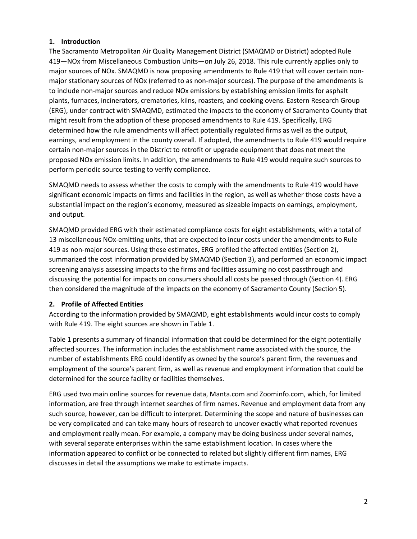#### **1. Introduction**

The Sacramento Metropolitan Air Quality Management District (SMAQMD or District) adopted Rule 419—NOx from Miscellaneous Combustion Units—on July 26, 2018. This rule currently applies only to major sources of NOx. SMAQMD is now proposing amendments to Rule 419 that will cover certain nonmajor stationary sources of NOx (referred to as non-major sources). The purpose of the amendments is to include non-major sources and reduce NOx emissions by establishing emission limits for asphalt plants, furnaces, incinerators, crematories, kilns, roasters, and cooking ovens. Eastern Research Group (ERG), under contract with SMAQMD, estimated the impacts to the economy of Sacramento County that might result from the adoption of these proposed amendments to Rule 419. Specifically, ERG determined how the rule amendments will affect potentially regulated firms as well as the output, earnings, and employment in the county overall. If adopted, the amendments to Rule 419 would require certain non-major sources in the District to retrofit or upgrade equipment that does not meet the proposed NOx emission limits. In addition, the amendments to Rule 419 would require such sources to perform periodic source testing to verify compliance.

SMAQMD needs to assess whether the costs to comply with the amendments to Rule 419 would have significant economic impacts on firms and facilities in the region, as well as whether those costs have a substantial impact on the region's economy, measured as sizeable impacts on earnings, employment, and output.

SMAQMD provided ERG with their estimated compliance costs for eight establishments, with a total of 13 miscellaneous NOx-emitting units, that are expected to incur costs under the amendments to Rule 419 as non-major sources. Using these estimates, ERG profiled the affected entities (Section 2), summarized the cost information provided by SMAQMD (Section 3), and performed an economic impact screening analysis assessing impacts to the firms and facilities assuming no cost passthrough and discussing the potential for impacts on consumers should all costs be passed through (Section 4). ERG then considered the magnitude of the impacts on the economy of Sacramento County (Section 5).

# **2. Profile of Affected Entities**

According to the information provided by SMAQMD, eight establishments would incur costs to comply with Rule 419. The eight sources are shown in Table 1.

Table 1 presents a summary of financial information that could be determined for the eight potentially affected sources. The information includes the establishment name associated with the source, the number of establishments ERG could identify as owned by the source's parent firm, the revenues and employment of the source's parent firm, as well as revenue and employment information that could be determined for the source facility or facilities themselves.

ERG used two main online sources for revenue data, Manta.com and Zoominfo.com, which, for limited information, are free through internet searches of firm names. Revenue and employment data from any such source, however, can be difficult to interpret. Determining the scope and nature of businesses can be very complicated and can take many hours of research to uncover exactly what reported revenues and employment really mean. For example, a company may be doing business under several names, with several separate enterprises within the same establishment location. In cases where the information appeared to conflict or be connected to related but slightly different firm names, ERG discusses in detail the assumptions we make to estimate impacts.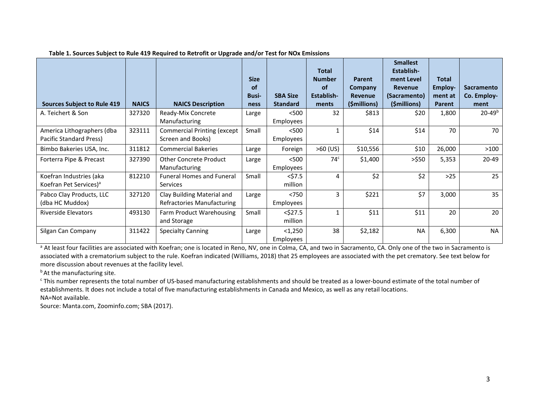| <b>Sources Subject to Rule 419</b>                            | <b>NAICS</b> | <b>NAICS Description</b>                                        | <b>Size</b><br><b>of</b><br><b>Busi-</b><br>ness | <b>SBA Size</b><br><b>Standard</b> | <b>Total</b><br><b>Number</b><br><b>of</b><br>Establish-<br>ments | Parent<br>Company<br><b>Revenue</b><br>(\$millions) | <b>Smallest</b><br>Establish-<br>ment Level<br><b>Revenue</b><br>(Sacramento)<br>(\$millions) | <b>Total</b><br>Employ-<br>ment at<br>Parent | <b>Sacramento</b><br>Co. Employ-<br>ment |
|---------------------------------------------------------------|--------------|-----------------------------------------------------------------|--------------------------------------------------|------------------------------------|-------------------------------------------------------------------|-----------------------------------------------------|-----------------------------------------------------------------------------------------------|----------------------------------------------|------------------------------------------|
| A. Teichert & Son                                             | 327320       | Ready-Mix Concrete<br>Manufacturing                             | Large                                            | < 500<br>Employees                 | 32                                                                | \$813                                               | \$20                                                                                          | 1,800                                        | $20 - 49^b$                              |
| America Lithographers (dba<br>Pacific Standard Press)         | 323111       | <b>Commercial Printing (except</b><br>Screen and Books)         | Small                                            | < 500<br>Employees                 |                                                                   | \$14                                                | \$14                                                                                          | 70                                           | 70                                       |
| Bimbo Bakeries USA, Inc.                                      | 311812       | <b>Commercial Bakeries</b>                                      | Large                                            | Foreign                            | $>60$ (US)                                                        | \$10,556                                            | \$10                                                                                          | 26,000                                       | >100                                     |
| Forterra Pipe & Precast                                       | 327390       | <b>Other Concrete Product</b><br>Manufacturing                  | Large                                            | < 500<br>Employees                 | 74 <sup>c</sup>                                                   | \$1,400                                             | >550                                                                                          | 5,353                                        | 20-49                                    |
| Koefran Industries (aka<br>Koefran Pet Services) <sup>a</sup> | 812210       | <b>Funeral Homes and Funeral</b><br><b>Services</b>             | Small                                            | $<$ \$7.5<br>million               | 4                                                                 | \$2                                                 | \$2                                                                                           | $>25$                                        | 25                                       |
| Pabco Clay Products, LLC<br>(dba HC Muddox)                   | 327120       | Clay Building Material and<br><b>Refractories Manufacturing</b> | Large                                            | < 750<br>Employees                 | 3                                                                 | \$221                                               | \$7                                                                                           | 3,000                                        | 35                                       |
| <b>Riverside Elevators</b>                                    | 493130       | Farm Product Warehousing<br>and Storage                         | Small                                            | $<$ \$27.5<br>million              | $\mathbf{1}$                                                      | \$11                                                | \$11                                                                                          | 20                                           | 20                                       |
| Silgan Can Company                                            | 311422       | <b>Specialty Canning</b>                                        | Large                                            | $1,250$<br>Employees               | 38                                                                | \$2,182                                             | <b>NA</b>                                                                                     | 6,300                                        | <b>NA</b>                                |

#### **Table 1. Sources Subject to Rule 419 Required to Retrofit or Upgrade and/or Test for NOx Emissions**

<sup>a</sup> At least four facilities are associated with Koefran; one is located in Reno, NV, one in Colma, CA, and two in Sacramento, CA. Only one of the two in Sacramento is associated with a crematorium subject to the rule. Koefran indicated (Williams, 2018) that 25 employees are associated with the pet crematory. See text below for more discussion about revenues at the facility level.

**b**At the manufacturing site.

<sup>c</sup> This number represents the total number of US-based manufacturing establishments and should be treated as a lower-bound estimate of the total number of establishments. It does not include a total of five manufacturing establishments in Canada and Mexico, as well as any retail locations. NA=Not available.

Source: Manta.com, Zoominfo.com; SBA (2017).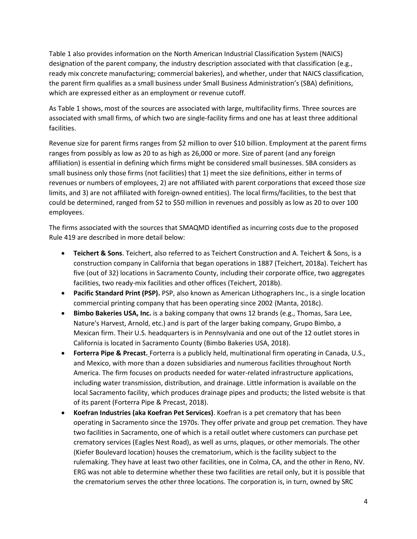Table 1 also provides information on the North American Industrial Classification System (NAICS) designation of the parent company, the industry description associated with that classification (e.g., ready mix concrete manufacturing; commercial bakeries), and whether, under that NAICS classification, the parent firm qualifies as a small business under Small Business Administration's (SBA) definitions, which are expressed either as an employment or revenue cutoff.

As Table 1 shows, most of the sources are associated with large, multifacility firms. Three sources are associated with small firms, of which two are single-facility firms and one has at least three additional facilities.

Revenue size for parent firms ranges from \$2 million to over \$10 billion. Employment at the parent firms ranges from possibly as low as 20 to as high as 26,000 or more. Size of parent (and any foreign affiliation) is essential in defining which firms might be considered small businesses. SBA considers as small business only those firms (not facilities) that 1) meet the size definitions, either in terms of revenues or numbers of employees, 2) are not affiliated with parent corporations that exceed those size limits, and 3) are not affiliated with foreign-owned entities). The local firms/facilities, to the best that could be determined, ranged from \$2 to \$50 million in revenues and possibly as low as 20 to over 100 employees.

The firms associated with the sources that SMAQMD identified as incurring costs due to the proposed Rule 419 are described in more detail below:

- **Teichert & Sons**. Teichert, also referred to as Teichert Construction and A. Teichert & Sons, is a construction company in California that began operations in 1887 (Teichert, 2018a). Teichert has five (out of 32) locations in Sacramento County, including their corporate office, two aggregates facilities, two ready-mix facilities and other offices (Teichert, 2018b).
- **Pacific Standard Print (PSP).** PSP, also known as American Lithographers Inc., is a single location commercial printing company that has been operating since 2002 (Manta, 2018c).
- **Bimbo Bakeries USA, Inc.** is a baking company that owns 12 brands (e.g., Thomas, Sara Lee, Nature's Harvest, Arnold, etc.) and is part of the larger baking company, Grupo Bimbo, a Mexican firm. Their U.S. headquarters is in Pennsylvania and one out of the 12 outlet stores in California is located in Sacramento County (Bimbo Bakeries USA, 2018).
- **Forterra Pipe & Precast.** Forterra is a publicly held, multinational firm operating in Canada, U.S., and Mexico, with more than a dozen subsidiaries and numerous facilities throughout North America. The firm focuses on products needed for water-related infrastructure applications, including water transmission, distribution, and drainage. Little information is available on the local Sacramento facility, which produces drainage pipes and products; the listed website is that of its parent (Forterra Pipe & Precast, 2018).
- **Koefran Industries (aka Koefran Pet Services)**. Koefran is a pet crematory that has been operating in Sacramento since the 1970s. They offer private and group pet cremation. They have two facilities in Sacramento, one of which is a retail outlet where customers can purchase pet crematory services (Eagles Nest Road), as well as urns, plaques, or other memorials. The other (Kiefer Boulevard location) houses the crematorium, which is the facility subject to the rulemaking. They have at least two other facilities, one in Colma, CA, and the other in Reno, NV. ERG was not able to determine whether these two facilities are retail only, but it is possible that the crematorium serves the other three locations. The corporation is, in turn, owned by SRC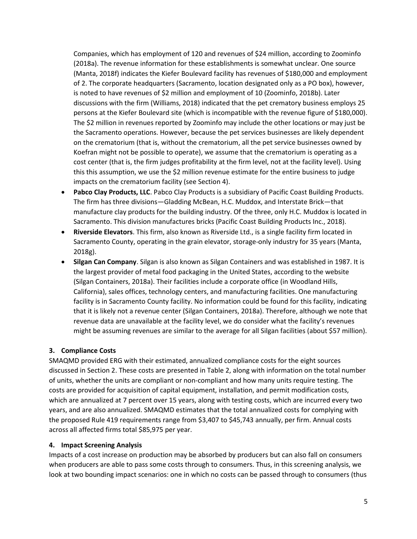Companies, which has employment of 120 and revenues of \$24 million, according to Zoominfo (2018a). The revenue information for these establishments is somewhat unclear. One source (Manta, 2018f) indicates the Kiefer Boulevard facility has revenues of \$180,000 and employment of 2. The corporate headquarters (Sacramento, location designated only as a PO box), however, is noted to have revenues of \$2 million and employment of 10 (Zoominfo, 2018b). Later discussions with the firm (Williams, 2018) indicated that the pet crematory business employs 25 persons at the Kiefer Boulevard site (which is incompatible with the revenue figure of \$180,000). The \$2 million in revenues reported by Zoominfo may include the other locations or may just be the Sacramento operations. However, because the pet services businesses are likely dependent on the crematorium (that is, without the crematorium, all the pet service businesses owned by Koefran might not be possible to operate), we assume that the crematorium is operating as a cost center (that is, the firm judges profitability at the firm level, not at the facility level). Using this this assumption, we use the \$2 million revenue estimate for the entire business to judge impacts on the crematorium facility (see Section 4).

- **Pabco Clay Products, LLC**. Pabco Clay Products is a subsidiary of Pacific Coast Building Products. The firm has three divisions—Gladding McBean, H.C. Muddox, and Interstate Brick—that manufacture clay products for the building industry. Of the three, only H.C. Muddox is located in Sacramento. This division manufactures bricks (Pacific Coast Building Products Inc., 2018).
- **Riverside Elevators**. This firm, also known as Riverside Ltd., is a single facility firm located in Sacramento County, operating in the grain elevator, storage-only industry for 35 years (Manta, 2018g).
- **Silgan Can Company**. Silgan is also known as Silgan Containers and was established in 1987. It is the largest provider of metal food packaging in the United States, according to the website (Silgan Containers, 2018a). Their facilities include a corporate office (in Woodland Hills, California), sales offices, technology centers, and manufacturing facilities. One manufacturing facility is in Sacramento County facility. No information could be found for this facility, indicating that it is likely not a revenue center (Silgan Containers, 2018a). Therefore, although we note that revenue data are unavailable at the facility level, we do consider what the facility's revenues might be assuming revenues are similar to the average for all Silgan facilities (about \$57 million).

# **3. Compliance Costs**

SMAQMD provided ERG with their estimated, annualized compliance costs for the eight sources discussed in Section 2. These costs are presented in Table 2, along with information on the total number of units, whether the units are compliant or non-compliant and how many units require testing. The costs are provided for acquisition of capital equipment, installation, and permit modification costs, which are annualized at 7 percent over 15 years, along with testing costs, which are incurred every two years, and are also annualized. SMAQMD estimates that the total annualized costs for complying with the proposed Rule 419 requirements range from \$3,407 to \$45,743 annually, per firm. Annual costs across all affected firms total \$85,975 per year.

# **4. Impact Screening Analysis**

Impacts of a cost increase on production may be absorbed by producers but can also fall on consumers when producers are able to pass some costs through to consumers. Thus, in this screening analysis, we look at two bounding impact scenarios: one in which no costs can be passed through to consumers (thus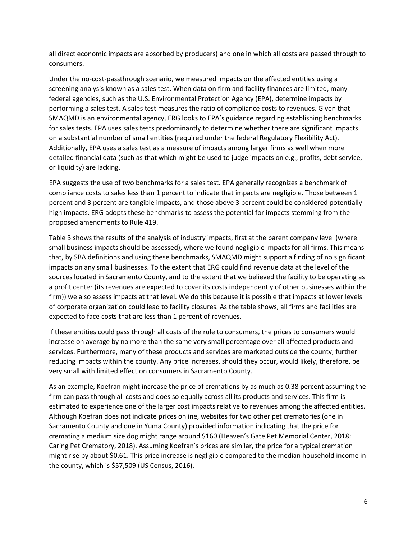all direct economic impacts are absorbed by producers) and one in which all costs are passed through to consumers.

Under the no-cost-passthrough scenario, we measured impacts on the affected entities using a screening analysis known as a sales test. When data on firm and facility finances are limited, many federal agencies, such as the U.S. Environmental Protection Agency (EPA), determine impacts by performing a sales test. A sales test measures the ratio of compliance costs to revenues. Given that SMAQMD is an environmental agency, ERG looks to EPA's guidance regarding establishing benchmarks for sales tests. EPA uses sales tests predominantly to determine whether there are significant impacts on a substantial number of small entities (required under the federal Regulatory Flexibility Act). Additionally, EPA uses a sales test as a measure of impacts among larger firms as well when more detailed financial data (such as that which might be used to judge impacts on e.g., profits, debt service, or liquidity) are lacking.

EPA suggests the use of two benchmarks for a sales test. EPA generally recognizes a benchmark of compliance costs to sales less than 1 percent to indicate that impacts are negligible. Those between 1 percent and 3 percent are tangible impacts, and those above 3 percent could be considered potentially high impacts. ERG adopts these benchmarks to assess the potential for impacts stemming from the proposed amendments to Rule 419.

Table 3 shows the results of the analysis of industry impacts, first at the parent company level (where small business impacts should be assessed), where we found negligible impacts for all firms. This means that, by SBA definitions and using these benchmarks, SMAQMD might support a finding of no significant impacts on any small businesses. To the extent that ERG could find revenue data at the level of the sources located in Sacramento County, and to the extent that we believed the facility to be operating as a profit center (its revenues are expected to cover its costs independently of other businesses within the firm)) we also assess impacts at that level. We do this because it is possible that impacts at lower levels of corporate organization could lead to facility closures. As the table shows, all firms and facilities are expected to face costs that are less than 1 percent of revenues.

If these entities could pass through all costs of the rule to consumers, the prices to consumers would increase on average by no more than the same very small percentage over all affected products and services. Furthermore, many of these products and services are marketed outside the county, further reducing impacts within the county. Any price increases, should they occur, would likely, therefore, be very small with limited effect on consumers in Sacramento County.

As an example, Koefran might increase the price of cremations by as much as 0.38 percent assuming the firm can pass through all costs and does so equally across all its products and services. This firm is estimated to experience one of the larger cost impacts relative to revenues among the affected entities. Although Koefran does not indicate prices online, websites for two other pet crematories (one in Sacramento County and one in Yuma County) provided information indicating that the price for cremating a medium size dog might range around \$160 (Heaven's Gate Pet Memorial Center, 2018; Caring Pet Crematory, 2018). Assuming Koefran's prices are similar, the price for a typical cremation might rise by about \$0.61. This price increase is negligible compared to the median household income in the county, which is \$57,509 (US Census, 2016).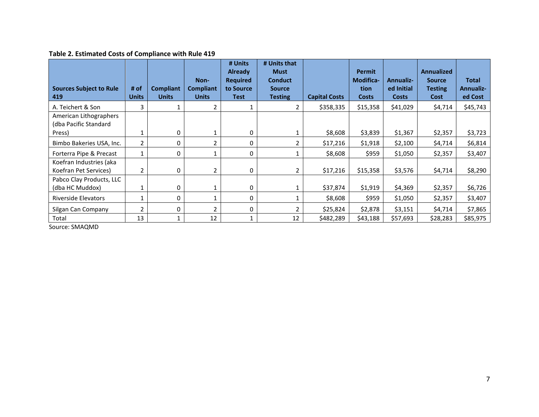# **Table 2. Estimated Costs of Compliance with Rule 419**

|                                                  |              |                  |                          | # Units<br><b>Already</b>    | # Units that<br><b>Must</b>     |                      | <b>Permit</b>            |                                | <b>Annualized</b>               |                                  |
|--------------------------------------------------|--------------|------------------|--------------------------|------------------------------|---------------------------------|----------------------|--------------------------|--------------------------------|---------------------------------|----------------------------------|
| <b>Sources Subject to Rule</b>                   | # of         | <b>Compliant</b> | Non-<br><b>Compliant</b> | <b>Required</b><br>to Source | <b>Conduct</b><br><b>Source</b> |                      | <b>Modifica-</b><br>tion | <b>Annualiz-</b><br>ed Initial | <b>Source</b><br><b>Testing</b> | <b>Total</b><br><b>Annualiz-</b> |
| 419                                              | <b>Units</b> | <b>Units</b>     | <b>Units</b>             | <b>Test</b>                  | <b>Testing</b>                  | <b>Capital Costs</b> | <b>Costs</b>             | <b>Costs</b>                   | Cost                            | ed Cost                          |
| A. Teichert & Son                                | 3            |                  | 2                        |                              | $\overline{2}$                  | \$358,335            | \$15,358                 | \$41,029                       | \$4,714                         | \$45,743                         |
| American Lithographers<br>(dba Pacific Standard  |              |                  |                          |                              |                                 |                      |                          |                                |                                 |                                  |
| Press)                                           |              | 0                |                          | 0                            |                                 | \$8,608              | \$3,839                  | \$1,367                        | \$2,357                         | \$3,723                          |
| Bimbo Bakeries USA, Inc.                         | 2            | 0                | $\overline{2}$           | 0                            | 2                               | \$17,216             | \$1,918                  | \$2,100                        | \$4,714                         | \$6,814                          |
| Forterra Pipe & Precast                          |              | 0                |                          | 0                            |                                 | \$8,608              | \$959                    | \$1,050                        | \$2,357                         | \$3,407                          |
| Koefran Industries (aka<br>Koefran Pet Services) |              | 0                | $\overline{2}$           | 0                            | 2                               | \$17,216             | \$15,358                 | \$3,576                        | \$4,714                         | \$8,290                          |
| Pabco Clay Products, LLC<br>(dba HC Muddox)      |              | 0                |                          | 0                            |                                 | \$37,874             | \$1,919                  | \$4,369                        | \$2,357                         | \$6,726                          |
| <b>Riverside Elevators</b>                       |              | 0                |                          | 0                            |                                 | \$8,608              | \$959                    | \$1,050                        | \$2,357                         | \$3,407                          |
| Silgan Can Company                               | 2            | 0                | $\overline{2}$           | 0                            | $\overline{2}$                  | \$25,824             | \$2,878                  | \$3,151                        | \$4,714                         | \$7,865                          |
| Total                                            | 13           |                  | 12                       | 1                            | 12                              | \$482,289            | \$43,188                 | \$57,693                       | \$28,283                        | \$85,975                         |

Source: SMAQMD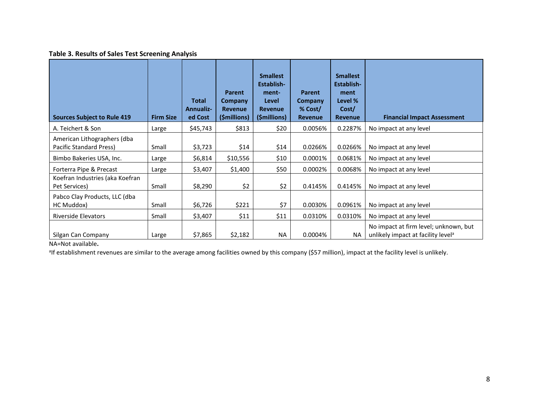#### **Table 3. Results of Sales Test Screening Analysis**

| <b>Sources Subject to Rule 419</b>                     | <b>Firm Size</b> | <b>Total</b><br><b>Annualiz-</b><br>ed Cost | Parent<br>Company<br><b>Revenue</b><br>(\$millions) | <b>Smallest</b><br>Establish-<br>ment-<br>Level<br><b>Revenue</b><br>(\$millions) | <b>Parent</b><br>Company<br>% Cost/<br><b>Revenue</b> | <b>Smallest</b><br>Establish-<br>ment<br>Level %<br>Cost/<br><b>Revenue</b> | <b>Financial Impact Assessment</b>                                                      |
|--------------------------------------------------------|------------------|---------------------------------------------|-----------------------------------------------------|-----------------------------------------------------------------------------------|-------------------------------------------------------|-----------------------------------------------------------------------------|-----------------------------------------------------------------------------------------|
| A. Teichert & Son                                      | Large            | \$45,743                                    | \$813                                               | \$20                                                                              | 0.0056%                                               | 0.2287%                                                                     | No impact at any level                                                                  |
| American Lithographers (dba<br>Pacific Standard Press) | Small            | \$3,723                                     | \$14                                                | \$14                                                                              | 0.0266%                                               | 0.0266%                                                                     | No impact at any level                                                                  |
| Bimbo Bakeries USA, Inc.                               | Large            | \$6,814                                     | \$10,556                                            | \$10                                                                              | 0.0001%                                               | 0.0681%                                                                     | No impact at any level                                                                  |
| Forterra Pipe & Precast                                | Large            | \$3,407                                     | \$1,400                                             | \$50                                                                              | 0.0002%                                               | 0.0068%                                                                     | No impact at any level                                                                  |
| Koefran Industries (aka Koefran<br>Pet Services)       | Small            | \$8,290                                     | \$2                                                 | \$2                                                                               | 0.4145%                                               | 0.4145%                                                                     | No impact at any level                                                                  |
| Pabco Clay Products, LLC (dba<br>HC Muddox)            | Small            | \$6,726                                     | \$221                                               | \$7                                                                               | 0.0030%                                               | 0.0961%                                                                     | No impact at any level                                                                  |
| <b>Riverside Elevators</b>                             | Small            | \$3,407                                     | \$11                                                | \$11                                                                              | 0.0310%                                               | 0.0310%                                                                     | No impact at any level                                                                  |
| Silgan Can Company                                     | Large            | \$7,865                                     | \$2,182                                             | <b>NA</b>                                                                         | 0.0004%                                               | <b>NA</b>                                                                   | No impact at firm level; unknown, but<br>unlikely impact at facility level <sup>a</sup> |

#### NA=Not available**.**

<sup>a</sup>lf establishment revenues are similar to the average among facilities owned by this company (\$57 million), impact at the facility level is unlikely.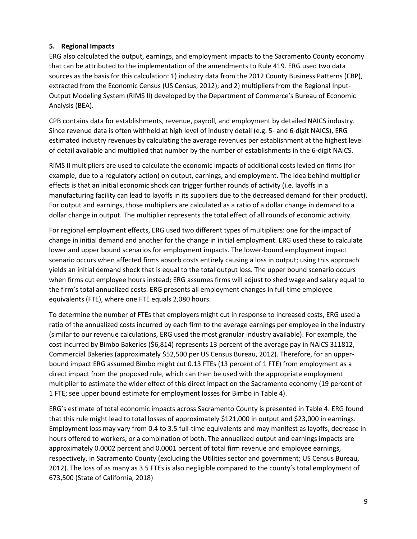# **5. Regional Impacts**

ERG also calculated the output, earnings, and employment impacts to the Sacramento County economy that can be attributed to the implementation of the amendments to Rule 419. ERG used two data sources as the basis for this calculation: 1) industry data from the 2012 County Business Patterns (CBP), extracted from the Economic Census (US Census, 2012); and 2) multipliers from the Regional Input-Output Modeling System (RIMS II) developed by the Department of Commerce's Bureau of Economic Analysis (BEA).

CPB contains data for establishments, revenue, payroll, and employment by detailed NAICS industry. Since revenue data is often withheld at high level of industry detail (e.g. 5- and 6-digit NAICS), ERG estimated industry revenues by calculating the average revenues per establishment at the highest level of detail available and multiplied that number by the number of establishments in the 6-digit NAICS.

RIMS II multipliers are used to calculate the economic impacts of additional costs levied on firms (for example, due to a regulatory action) on output, earnings, and employment. The idea behind multiplier effects is that an initial economic shock can trigger further rounds of activity (i.e. layoffs in a manufacturing facility can lead to layoffs in its suppliers due to the decreased demand for their product). For output and earnings, those multipliers are calculated as a ratio of a dollar change in demand to a dollar change in output. The multiplier represents the total effect of all rounds of economic activity.

For regional employment effects, ERG used two different types of multipliers: one for the impact of change in initial demand and another for the change in initial employment. ERG used these to calculate lower and upper bound scenarios for employment impacts. The lower-bound employment impact scenario occurs when affected firms absorb costs entirely causing a loss in output; using this approach yields an initial demand shock that is equal to the total output loss. The upper bound scenario occurs when firms cut employee hours instead; ERG assumes firms will adjust to shed wage and salary equal to the firm's total annualized costs. ERG presents all employment changes in full-time employee equivalents (FTE), where one FTE equals 2,080 hours.

To determine the number of FTEs that employers might cut in response to increased costs, ERG used a ratio of the annualized costs incurred by each firm to the average earnings per employee in the industry (similar to our revenue calculations, ERG used the most granular industry available). For example, the cost incurred by Bimbo Bakeries (\$6,814) represents 13 percent of the average pay in NAICS 311812, Commercial Bakeries (approximately \$52,500 per US Census Bureau, 2012). Therefore, for an upperbound impact ERG assumed Bimbo might cut 0.13 FTEs (13 percent of 1 FTE) from employment as a direct impact from the proposed rule, which can then be used with the appropriate employment multiplier to estimate the wider effect of this direct impact on the Sacramento economy (19 percent of 1 FTE; see upper bound estimate for employment losses for Bimbo in Table 4).

ERG's estimate of total economic impacts across Sacramento County is presented in Table 4. ERG found that this rule might lead to total losses of approximately \$121,000 in output and \$23,000 in earnings. Employment loss may vary from 0.4 to 3.5 full-time equivalents and may manifest as layoffs, decrease in hours offered to workers, or a combination of both. The annualized output and earnings impacts are approximately 0.0002 percent and 0.0001 percent of total firm revenue and employee earnings, respectively, in Sacramento County (excluding the Utilities sector and government; US Census Bureau, 2012). The loss of as many as 3.5 FTEs is also negligible compared to the county's total employment of 673,500 (State of California, 2018)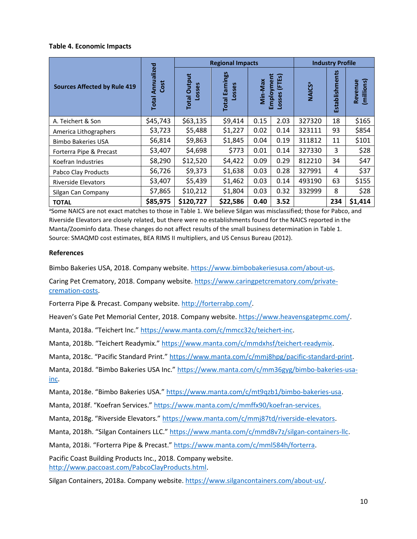#### **Table 4. Economic Impacts**

|                                     |                                    |                               | <b>Regional Impacts</b>         | <b>Industry Profile</b>                                |      |                          |                |                       |
|-------------------------------------|------------------------------------|-------------------------------|---------------------------------|--------------------------------------------------------|------|--------------------------|----------------|-----------------------|
| <b>Sources Affected by Rule 419</b> | Annualized<br>Cost<br><b>Total</b> | <b>Total Output</b><br>Losses | <b>Total Earnings</b><br>Losses | Employment<br>(FTE <sub>S</sub> )<br>Min-Max<br>Losses |      | <b>NAICS<sup>a</sup></b> | Establishments | (millions)<br>Revenue |
| A. Teichert & Son                   | \$45,743                           | \$63,135                      | \$9,414                         | 0.15                                                   | 2.03 | 327320                   | 18             | \$165                 |
| America Lithographers               | \$3,723                            | \$5,488                       | \$1,227                         | 0.02                                                   | 0.14 | 323111                   | 93             | \$854                 |
| <b>Bimbo Bakeries USA</b>           | \$6,814                            | \$9,863                       | \$1,845                         | 0.04                                                   | 0.19 | 311812                   | 11             | \$101                 |
| Forterra Pipe & Precast             | \$3,407                            | \$4,698                       | \$773                           | 0.01                                                   | 0.14 | 327330                   | 3              | \$28                  |
| Koefran Industries                  | \$8,290                            | \$12,520                      | \$4,422                         | 0.09                                                   | 0.29 | 812210                   | 34             | \$47                  |
| Pabco Clay Products                 | \$6,726                            | \$9,373                       | \$1,638                         | 0.03                                                   | 0.28 | 327991                   | 4              | \$37                  |
| <b>Riverside Elevators</b>          | \$3,407                            | \$5,439                       | \$1,462                         | 0.03                                                   | 0.14 | 493190                   | 63             | \$155                 |
| Silgan Can Company                  | \$7,865                            | \$10,212                      | \$1,804                         | 0.03                                                   | 0.32 | 332999                   | 8              | \$28                  |
| <b>TOTAL</b>                        | \$85,975                           | \$120,727                     | \$22,586                        | 0.40                                                   | 3.52 |                          | 234            | \$1,414               |

<sup>a</sup>Some NAICS are not exact matches to those in Table 1. We believe Silgan was misclassified; those for Pabco, and Riverside Elevators are closely related, but there were no establishments found for the NAICS reported in the Manta/Zoominfo data. These changes do not affect results of the small business determination in Table 1. Source: SMAQMD cost estimates, BEA RIMS II multipliers, and US Census Bureau (2012).

#### **References**

Bimbo Bakeries USA, 2018. Company website. https://www.bimbobakeriesusa.com/about-us.

Caring Pet Crematory, 2018. Company website. https://www.caringpetcrematory.com/privatecremation-costs.

Forterra Pipe & Precast. Company website. http://forterrabp.com/.

Heaven's Gate Pet Memorial Center, 2018. Company website. https://www.heavensgatepmc.com/.

Manta, 2018a. "Teichert Inc." https://www.manta.com/c/mmcc32c/teichert-inc.

Manta, 2018b. "Teichert Readymix." https://www.manta.com/c/mmdxhsf/teichert-readymix.

Manta, 2018c. "Pacific Standard Print." https://www.manta.com/c/mmj8hpg/pacific-standard-print.

Manta, 2018d. "Bimbo Bakeries USA Inc." https://www.manta.com/c/mm36gyg/bimbo-bakeries-usainc.

Manta, 2018e. "Bimbo Bakeries USA." https://www.manta.com/c/mt9qzb1/bimbo-bakeries-usa.

Manta, 2018f. "Koefran Services." https://www.manta.com/c/mmffx90/koefran-services.

Manta, 2018g. "Riverside Elevators." https://www.manta.com/c/mmj87td/riverside-elevators.

Manta, 2018h. "Silgan Containers LLC." https://www.manta.com/c/mmd8v7z/silgan-containers-llc.

Manta, 2018i. "Forterra Pipe & Precast." https://www.manta.com/c/mml584h/forterra.

Pacific Coast Building Products Inc., 2018. Company website. http://www.paccoast.com/PabcoClayProducts.html.

Silgan Containers, 2018a. Company website. https://www.silgancontainers.com/about-us/.